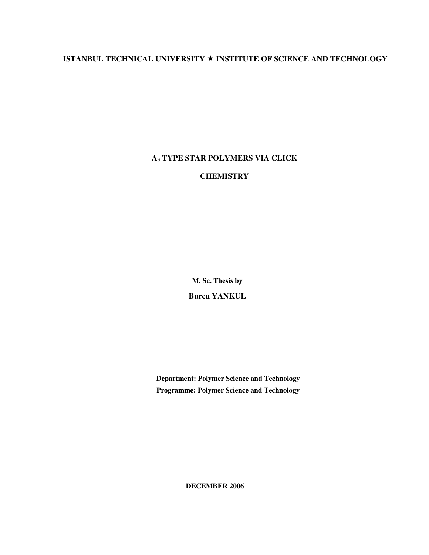## **ISTANBUL TECHNICAL UNIVERSITY INSTITUTE OF SCIENCE AND TECHNOLOGY**

## **A3 TYPE STAR POLYMERS VIA CLICK**

## **CHEMISTRY**

**M. Sc. Thesis by** 

**Burcu YANKUL** 

**Department: Polymer Science and Technology Programme: Polymer Science and Technology** 

**DECEMBER 2006**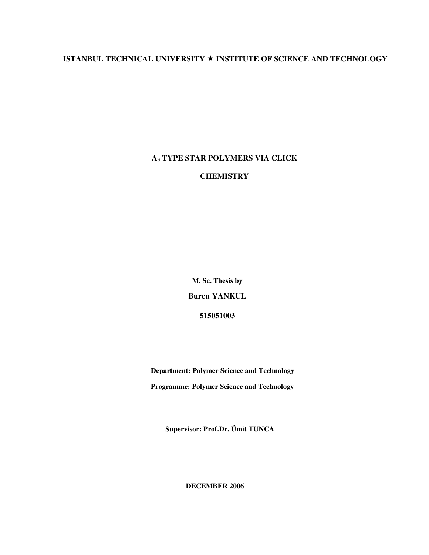## **ISTANBUL TECHNICAL UNIVERSITY INSTITUTE OF SCIENCE AND TECHNOLOGY**

## **A3 TYPE STAR POLYMERS VIA CLICK**

## **CHEMISTRY**

**M. Sc. Thesis by** 

**Burcu YANKUL** 

**515051003** 

 **Department: Polymer Science and Technology Programme: Polymer Science and Technology**

**Supervisor: Prof.Dr. Ümit TUNCA** 

**DECEMBER 2006**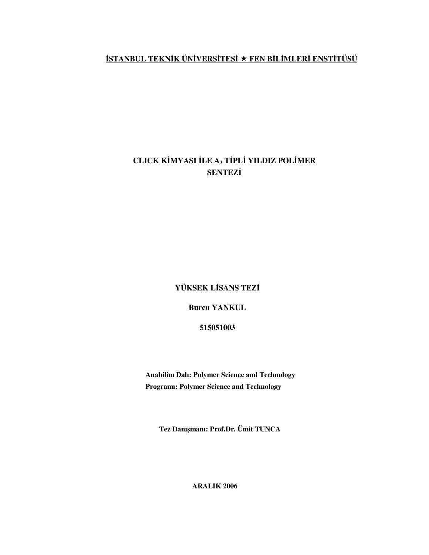# İ**STANBUL TEKN**İ**K ÜN**İ**VERS**İ**TES**İ  **FEN B**İ**L**İ**MLER**İ **ENST**İ**TÜSÜ**

# **CLICK K**İ**MYASI** İ**LE A3 T**İ**PL**İ **YILDIZ POL**İ**MER SENTEZ**İ

**YÜKSEK L**İ**SANS TEZ**İ

**Burcu YANKUL** 

**515051003** 

 **Anabilim Dalı: Polymer Science and Technology Programı: Polymer Science and Technology** 

**Tez Danı**ş**manı: Prof.Dr. Ümit TUNCA** 

**ARALIK 2006**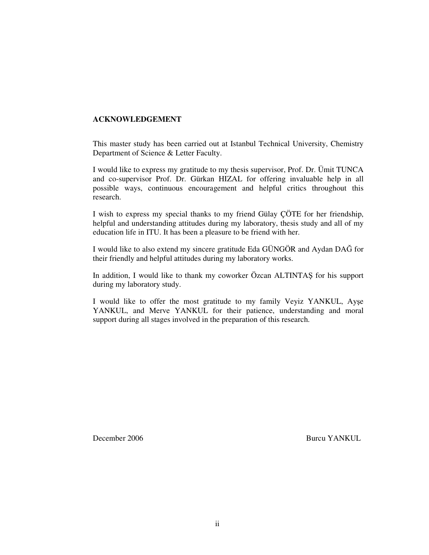## **ACKNOWLEDGEMENT**

This master study has been carried out at Istanbul Technical University, Chemistry Department of Science & Letter Faculty.

I would like to express my gratitude to my thesis supervisor, Prof. Dr. Ümit TUNCA and co-supervisor Prof. Dr. Gürkan HIZAL for offering invaluable help in all possible ways, continuous encouragement and helpful critics throughout this research.

I wish to express my special thanks to my friend Gülay ÇÖTE for her friendship, helpful and understanding attitudes during my laboratory, thesis study and all of my education life in ITU. It has been a pleasure to be friend with her.

I would like to also extend my sincere gratitude Eda GÜNGÖR and Aydan DAĞ for their friendly and helpful attitudes during my laboratory works.

In addition, I would like to thank my coworker Özcan ALTINTAŞ for his support during my laboratory study.

I would like to offer the most gratitude to my family Veyiz YANKUL, Ayşe YANKUL, and Merve YANKUL for their patience, understanding and moral support during all stages involved in the preparation of this research.

December 2006 Burcu YANKUL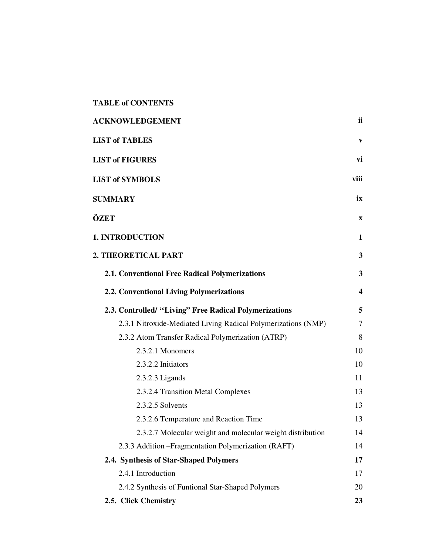| <b>ACKNOWLEDGEMENT</b>                                        | <b>ii</b>               |
|---------------------------------------------------------------|-------------------------|
| <b>LIST of TABLES</b>                                         | V                       |
| <b>LIST of FIGURES</b>                                        | vi                      |
| <b>LIST of SYMBOLS</b>                                        | viii                    |
| <b>SUMMARY</b>                                                | ix                      |
| ÖZET                                                          | $\mathbf{X}$            |
| <b>1. INTRODUCTION</b>                                        | 1                       |
| 2. THEORETICAL PART                                           | 3                       |
| 2.1. Conventional Free Radical Polymerizations                | $\overline{\mathbf{3}}$ |
| 2.2. Conventional Living Polymerizations                      | $\overline{\mathbf{4}}$ |
| 2.3. Controlled/ "Living" Free Radical Polymerizations        | 5                       |
| 2.3.1 Nitroxide-Mediated Living Radical Polymerizations (NMP) | 7                       |
| 2.3.2 Atom Transfer Radical Polymerization (ATRP)             | 8                       |
| 2.3.2.1 Monomers                                              | 10                      |
| 2.3.2.2 Initiators                                            | 10                      |
| $2.3.2.3$ Ligands                                             | 11                      |
| 2.3.2.4 Transition Metal Complexes                            | 13                      |
| 2.3.2.5 Solvents                                              | 13                      |
| 2.3.2.6 Temperature and Reaction Time                         | 13                      |
| 2.3.2.7 Molecular weight and molecular weight distribution    | 14                      |
| 2.3.3 Addition – Fragmentation Polymerization (RAFT)          | 14                      |
| 2.4. Synthesis of Star-Shaped Polymers                        | 17                      |
| 2.4.1 Introduction                                            | 17                      |
| 2.4.2 Synthesis of Funtional Star-Shaped Polymers             | 20                      |
| 2.5. Click Chemistry                                          | 23                      |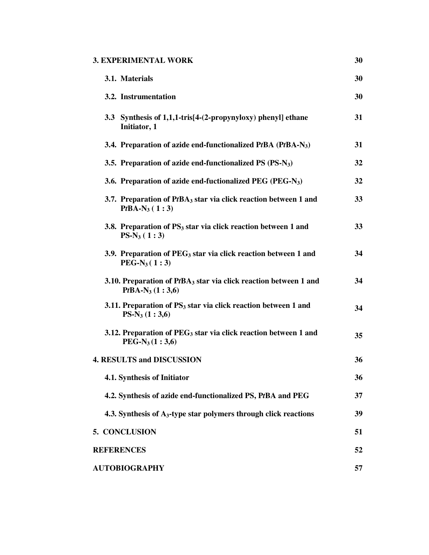| <b>3. EXPERIMENTAL WORK</b>                                                                       | 30 |
|---------------------------------------------------------------------------------------------------|----|
| 3.1. Materials                                                                                    | 30 |
| 3.2. Instrumentation                                                                              | 30 |
| 3.3 Synthesis of 1,1,1-tris[4-(2-propynyloxy) phenyl] ethane<br>Initiator, 1                      | 31 |
| 3.4. Preparation of azide end-functionalized PtBA (PtBA-N <sub>3</sub> )                          | 31 |
| 3.5. Preparation of azide end-functionalized $PS (PS-N3)$                                         | 32 |
| 3.6. Preparation of azide end-fuctionalized PEG (PEG-N <sub>3</sub> )                             | 32 |
| 3.7. Preparation of PtBA <sub>3</sub> star via click reaction between 1 and<br>$PtBA-N_3 (1:3)$   | 33 |
| 3.8. Preparation of PS <sub>3</sub> star via click reaction between 1 and<br>$PS-N_3(1:3)$        | 33 |
| 3.9. Preparation of $PEG_3$ star via click reaction between 1 and<br>$PEG-N_3(1:3)$               | 34 |
| 3.10. Preparation of PtBA <sub>3</sub> star via click reaction between 1 and<br>$PtBA-N_3(1:3,6)$ | 34 |
| 3.11. Preparation of $PS3$ star via click reaction between 1 and<br>$PS-N_3(1:3,6)$               | 34 |
| 3.12. Preparation of $PEG_3$ star via click reaction between 1 and<br>$PEG-N_3(1:3,6)$            | 35 |
| <b>4. RESULTS and DISCUSSION</b>                                                                  | 36 |
| 4.1. Synthesis of Initiator                                                                       | 36 |
| 4.2. Synthesis of azide end-functionalized PS, PtBA and PEG                                       | 37 |
| 4.3. Synthesis of A <sub>3</sub> -type star polymers through click reactions                      | 39 |
| 5. CONCLUSION                                                                                     | 51 |
| <b>REFERENCES</b>                                                                                 | 52 |
| <b>AUTOBIOGRAPHY</b>                                                                              | 57 |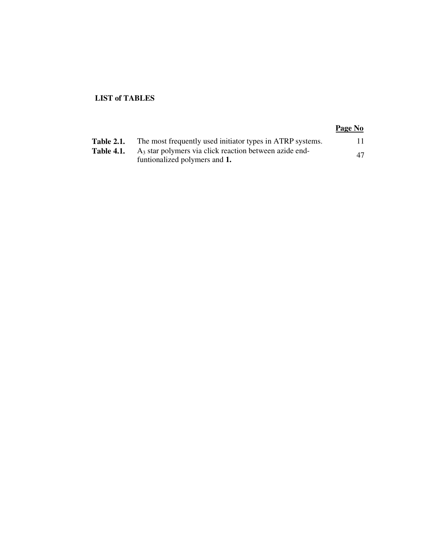## **LIST of TABLES**

## **Page No**

| <b>Table 2.1.</b> | The most frequently used initiator types in ATRP systems. | 11. |
|-------------------|-----------------------------------------------------------|-----|
| <b>Table 4.1.</b> | $A_3$ star polymers via click reaction between azide end- | 47  |
|                   | funtionalized polymers and 1.                             |     |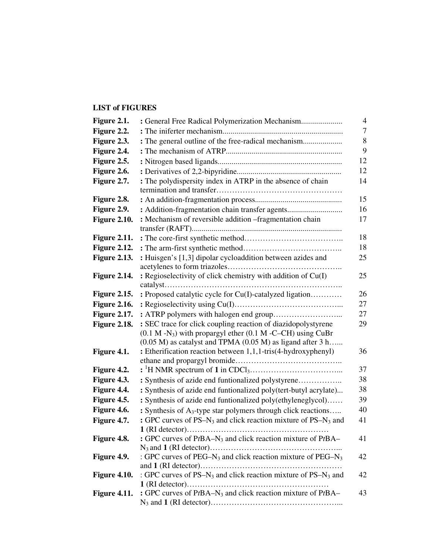## **LIST of FIGURES**

| Figure 2.1.         | 4<br>: General Free Radical Polymerization Mechanism                                  |    |  |  |  |  |
|---------------------|---------------------------------------------------------------------------------------|----|--|--|--|--|
| Figure 2.2.         |                                                                                       | 7  |  |  |  |  |
| Figure 2.3.         | : The general outline of the free-radical mechanism                                   | 8  |  |  |  |  |
| Figure 2.4.         |                                                                                       | 9  |  |  |  |  |
| Figure 2.5.         |                                                                                       | 12 |  |  |  |  |
| Figure 2.6.         |                                                                                       | 12 |  |  |  |  |
| Figure 2.7.         | : The polydispersity index in ATRP in the absence of chain                            | 14 |  |  |  |  |
|                     |                                                                                       |    |  |  |  |  |
| Figure 2.8.         |                                                                                       | 15 |  |  |  |  |
| Figure 2.9.         | : Addition-fragmentation chain transfer agents                                        | 16 |  |  |  |  |
| <b>Figure 2.10.</b> | : Mechanism of reversible addition -fragmentation chain                               | 17 |  |  |  |  |
|                     |                                                                                       |    |  |  |  |  |
| <b>Figure 2.11.</b> |                                                                                       | 18 |  |  |  |  |
| <b>Figure 2.12.</b> |                                                                                       | 18 |  |  |  |  |
| <b>Figure 2.13.</b> | : Huisgen's [1,3] dipolar cycloaddition between azides and                            | 25 |  |  |  |  |
|                     |                                                                                       |    |  |  |  |  |
| <b>Figure 2.14.</b> | : Regioselectivity of click chemistry with addition of Cu(I)                          | 25 |  |  |  |  |
|                     |                                                                                       |    |  |  |  |  |
| <b>Figure 2.15.</b> | : Proposed catalytic cycle for Cu(I)-catalyzed ligation                               | 26 |  |  |  |  |
| <b>Figure 2.16.</b> |                                                                                       | 27 |  |  |  |  |
| <b>Figure 2.17.</b> |                                                                                       | 27 |  |  |  |  |
| Figure 2.18.        | : SEC trace for click coupling reaction of diazidopolystyrene                         | 29 |  |  |  |  |
|                     | $(0.1 M - N_3)$ with propargyl ether $(0.1 M - C - CH)$ using CuBr                    |    |  |  |  |  |
|                     | $(0.05 M)$ as catalyst and TPMA $(0.05 M)$ as ligand after 3 h                        |    |  |  |  |  |
| Figure 4.1.         | : Etherification reaction between 1,1,1-tris(4-hydroxyphenyl)                         | 36 |  |  |  |  |
|                     |                                                                                       | 37 |  |  |  |  |
| Figure 4.2.         |                                                                                       | 38 |  |  |  |  |
| Figure 4.3.         | : Synthesis of azide end funtionalized polystyrene                                    | 38 |  |  |  |  |
| Figure 4.4.         | : Synthesis of azide end funtionalized poly(tert-butyl acrylate)                      |    |  |  |  |  |
| Figure 4.5.         | : Synthesis of azide end funtionalized poly(ethyleneglycol)                           | 39 |  |  |  |  |
| Figure 4.6.         | : Synthesis of A <sub>3</sub> -type star polymers through click reactions             | 40 |  |  |  |  |
| Figure 4.7.         | : GPC curves of PS-N <sub>3</sub> and click reaction mixture of PS-N <sub>3</sub> and | 41 |  |  |  |  |
|                     |                                                                                       |    |  |  |  |  |
| Figure 4.8.         | : GPC curves of $PtBA-N_3$ and click reaction mixture of $PtBA-$                      | 41 |  |  |  |  |
| Figure 4.9.         | : GPC curves of PEG-N <sub>3</sub> and click reaction mixture of PEG-N <sub>3</sub>   | 42 |  |  |  |  |
|                     |                                                                                       |    |  |  |  |  |
| Figure 4.10.        | : GPC curves of PS-N <sub>3</sub> and click reaction mixture of PS-N <sub>3</sub> and | 42 |  |  |  |  |
|                     |                                                                                       |    |  |  |  |  |
| <b>Figure 4.11.</b> | : GPC curves of $PtBA-N_3$ and click reaction mixture of $PtBA-$                      | 43 |  |  |  |  |
|                     |                                                                                       |    |  |  |  |  |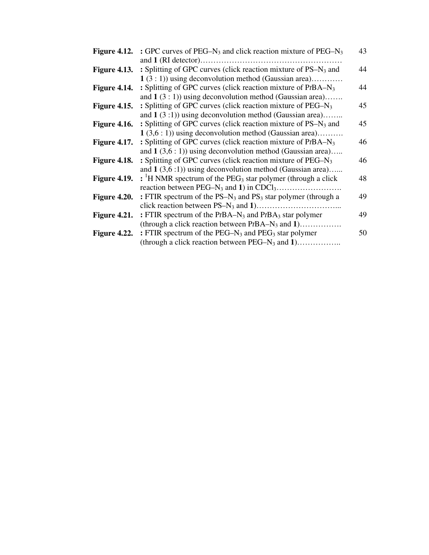| Figure 4.12.        | : GPC curves of PEG–N <sub>3</sub> and click reaction mixture of PEG–N <sub>3</sub>   | 43 |
|---------------------|---------------------------------------------------------------------------------------|----|
|                     |                                                                                       |    |
| <b>Figure 4.13.</b> | : Splitting of GPC curves (click reaction mixture of PS–N <sub>3</sub> and            | 44 |
|                     | $1(3:1)$ ) using deconvolution method (Gaussian area)                                 |    |
| Figure 4.14.        | : Splitting of GPC curves (click reaction mixture of $PtBA-N_3$ )                     | 44 |
|                     | and $1(3:1)$ ) using deconvolution method (Gaussian area)                             |    |
| Figure 4.15.        | : Splitting of GPC curves (click reaction mixture of PEG–N <sub>3</sub>               | 45 |
|                     | and $1(3:1)$ ) using deconvolution method (Gaussian area)                             |    |
| <b>Figure 4.16.</b> | : Splitting of GPC curves (click reaction mixture of $PS-N_3$ and                     | 45 |
|                     | $1(3,6:1)$ using deconvolution method (Gaussian area)                                 |    |
| <b>Figure 4.17.</b> | : Splitting of GPC curves (click reaction mixture of $PtBA-N_3$ )                     | 46 |
|                     | and $1(3,6:1)$ using deconvolution method (Gaussian area)                             |    |
| <b>Figure 4.18.</b> | : Splitting of GPC curves (click reaction mixture of $PEG-N_3$                        | 46 |
|                     | and $1(3,6:1)$ ) using deconvolution method (Gaussian area)                           |    |
| Figure 4.19.        | $:$ <sup>1</sup> H NMR spectrum of the PEG <sub>3</sub> star polymer (through a click | 48 |
|                     |                                                                                       |    |
| Figure 4.20.        | : FTIR spectrum of the $PS-N_3$ and $PS_3$ star polymer (through a                    | 49 |
|                     |                                                                                       |    |
| Figure 4.21.        | : FTIR spectrum of the $PtBA-N_3$ and $PtBA_3$ star polymer                           | 49 |
|                     | (through a click reaction between $PtBA-N_3$ and 1)                                   |    |
| Figure 4.22.        | : FTIR spectrum of the PEG–N <sub>3</sub> and PEG <sub>3</sub> star polymer           | 50 |
|                     | (through a click reaction between $PEG-N_3$ and 1)                                    |    |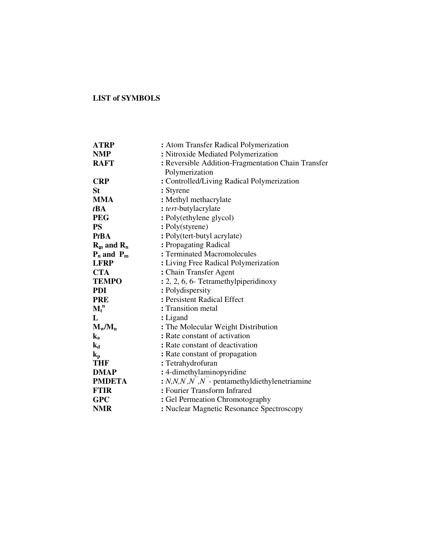## **LIST of SYMBOLS**

| ATRP                      | : Atom Transfer Radical Polymerization               |  |  |  |
|---------------------------|------------------------------------------------------|--|--|--|
| <b>NMP</b>                | : Nitroxide Mediated Polymerization                  |  |  |  |
| <b>RAFT</b>               | : Reversible Addition-Fragmentation Chain Transfer   |  |  |  |
|                           | Polymerization                                       |  |  |  |
| <b>CRP</b>                | : Controlled/Living Radical Polymerization           |  |  |  |
| <b>St</b>                 | : Styrene                                            |  |  |  |
| <b>MMA</b>                | : Methyl methacrylate                                |  |  |  |
| tBA                       | : tert-butylacrylate                                 |  |  |  |
| <b>PEG</b>                | : Poly(ethylene glycol)                              |  |  |  |
| <b>PS</b>                 | : Poly(styrene)                                      |  |  |  |
| <b>PtBA</b>               | : Poly(tert-butyl acrylate)                          |  |  |  |
| $R_m$ and $R_n$           | : Propagating Radical                                |  |  |  |
| $P_n$ and $P_m$           | : Terminated Macromolecules                          |  |  |  |
| <b>LFRP</b>               | : Living Free Radical Polymerization                 |  |  |  |
| <b>CTA</b>                | : Chain Transfer Agent                               |  |  |  |
| <b>TEMPO</b>              | : 2, 2, 6, 6- Tetramethylpiperidinoxy                |  |  |  |
| <b>PDI</b>                | : Polydispersity                                     |  |  |  |
| <b>PRE</b>                | : Persistent Radical Effect                          |  |  |  |
| $\mathbf{M_t}^n$          | : Transition metal                                   |  |  |  |
| L                         | : Ligand                                             |  |  |  |
| $M_w/M_n$                 | : The Molecular Weight Distribution                  |  |  |  |
| $\mathbf{k}_a$            | : Rate constant of activation                        |  |  |  |
| $\mathbf{k}_{\mathbf{d}}$ | : Rate constant of deactivation                      |  |  |  |
| $\mathbf{k}_{\rm p}$      | : Rate constant of propagation                       |  |  |  |
| <b>THF</b>                | : Tetrahydrofuran                                    |  |  |  |
| <b>DMAP</b>               | : 4-dimethylaminopyridine                            |  |  |  |
| <b>PMDETA</b>             | : $N, N, N', N', N'$ - pentamethyldiethylenetriamine |  |  |  |
| <b>FTIR</b>               | : Fourier Transform Infrared                         |  |  |  |
| <b>GPC</b>                | : Gel Permeation Chromotography                      |  |  |  |
| <b>NMR</b>                | : Nuclear Magnetic Resonance Spectroscopy            |  |  |  |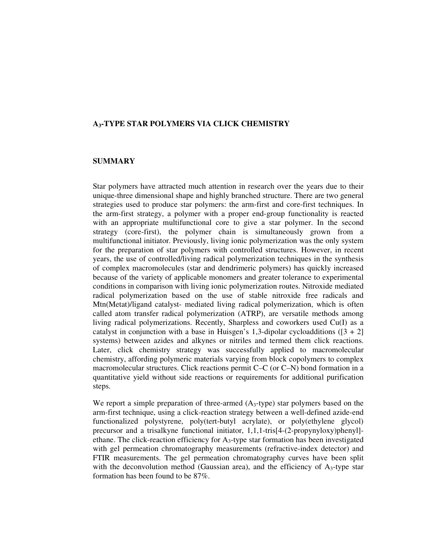## **A3-TYPE STAR POLYMERS VIA CLICK CHEMISTRY**

#### **SUMMARY**

Star polymers have attracted much attention in research over the years due to their unique-three dimensional shape and highly branched structure. There are two general strategies used to produce star polymers: the arm-first and core-first techniques. In the arm-first strategy, a polymer with a proper end-group functionality is reacted with an appropriate multifunctional core to give a star polymer. In the second strategy (core-first), the polymer chain is simultaneously grown from a multifunctional initiator. Previously, living ionic polymerization was the only system for the preparation of star polymers with controlled structures. However, in recent years, the use of controlled/living radical polymerization techniques in the synthesis of complex macromolecules (star and dendrimeric polymers) has quickly increased because of the variety of applicable monomers and greater tolerance to experimental conditions in comparison with living ionic polymerization routes. Nitroxide mediated radical polymerization based on the use of stable nitroxide free radicals and Mtn(Metat)/ligand catalyst- mediated living radical polymerization, which is often called atom transfer radical polymerization (ATRP), are versatile methods among living radical polymerizations. Recently, Sharpless and coworkers used Cu(I) as a catalyst in conjunction with a base in Huisgen's 1,3-dipolar cycloadditions  $(3 + 2)$ systems) between azides and alkynes or nitriles and termed them click reactions. Later, click chemistry strategy was successfully applied to macromolecular chemistry, affording polymeric materials varying from block copolymers to complex macromolecular structures. Click reactions permit C–C (or C–N) bond formation in a quantitative yield without side reactions or requirements for additional purification steps.

We report a simple preparation of three-armed  $(A_3$ -type) star polymers based on the arm-first technique, using a click-reaction strategy between a well-defined azide-end functionalized polystyrene, poly(tert-butyl acrylate), or poly(ethylene glycol) precursor and a trisalkyne functional initiator, 1,1,1-tris[4-(2-propynyloxy)phenyl] ethane. The click-reaction efficiency for  $A_3$ -type star formation has been investigated with gel permeation chromatography measurements (refractive-index detector) and FTIR measurements. The gel permeation chromatography curves have been split with the deconvolution method (Gaussian area), and the efficiency of  $A_3$ -type star formation has been found to be 87%.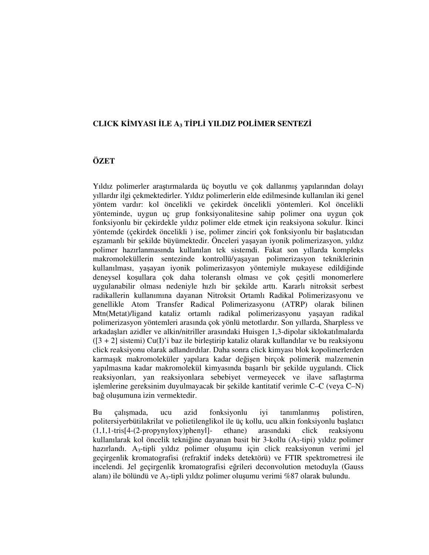## **CLICK K**İ**MYASI** İ**LE A3 T**İ**PL**İ **YILDIZ POL**İ**MER SENTEZ**İ

## **ÖZET**

Yıldız polimerler araştırmalarda üç boyutlu ve çok dallanmış yapılarından dolayı yıllardır ilgi çekmektedirler. Yıldız polimerlerin elde edilmesinde kullanılan iki genel yöntem vardır: kol öncelikli ve çekirdek öncelikli yöntemleri. Kol öncelikli yönteminde, uygun uç grup fonksiyonalitesine sahip polimer ona uygun çok fonksiyonlu bir çekirdekle yıldız polimer elde etmek için reaksiyona sokulur. İkinci yöntemde (çekirdek öncelikli ) ise, polimer zinciri çok fonksiyonlu bir başlatıcıdan eşzamanlı bir şekilde büyümektedir. Önceleri yaşayan iyonik polimerizasyon, yıldız polimer hazırlanmasında kullanılan tek sistemdi. Fakat son yıllarda kompleks makromoleküllerin sentezinde kontrollü/yaşayan polimerizasyon tekniklerinin kullanılması, yaşayan iyonik polimerizasyon yöntemiyle mukayese edildiğinde deneysel koşullara çok daha toleranslı olması ve çok çeşitli monomerlere uygulanabilir olması nedeniyle hızlı bir şekilde arttı. Kararlı nitroksit serbest radikallerin kullanımına dayanan Nitroksit Ortamlı Radikal Polimerizasyonu ve genellikle Atom Transfer Radical Polimerizasyonu (ATRP) olarak bilinen Mtn(Metat)/ligand kataliz ortamlı radikal polimerizasyonu yaşayan radikal polimerizasyon yöntemleri arasında çok yönlü metotlardır. Son yıllarda, Sharpless ve arkadaşları azidler ve alkin/nitriller arasındaki Huisgen 1,3-dipolar siklokatılmalarda  $(3 + 2)$  sistemi) Cu(I)'i baz ile birlestirip kataliz olarak kullandılar ve bu reaksiyonu click reaksiyonu olarak adlandırdılar. Daha sonra click kimyası blok kopolimerlerden karmaşık makromoleküler yapılara kadar değişen birçok polimerik malzemenin yapılmasına kadar makromolekül kimyasında başarılı bir şekilde uygulandı. Click reaksiyonları, yan reaksiyonlara sebebiyet vermeyecek ve ilave saflaştırma işlemlerine gereksinim duyulmayacak bir şekilde kantitatif verimle C–C (veya C–N) bağ oluşumuna izin vermektedir.

Bu çalışmada, ucu azid fonksiyonlu iyi tanımlanmış polistiren, politersiyerbütilakrilat ve polietilenglikol ile üç kollu, ucu alkin fonksiyonlu başlatıcı (1,1,1-tris[4-(2-propynyloxy)phenyl]- ethane) arasındaki click reaksiyonu kullanılarak kol öncelik tekniğine dayanan basit bir 3-kollu (A3-tipi) yıldız polimer hazırlandı. A3-tipli yıldız polimer oluşumu için click reaksiyonun verimi jel geçirgenlik kromatografisi (refraktif indeks detektörü) ve FTIR spektrometresi ile incelendi. Jel geçirgenlik kromatografisi eğrileri deconvolution metoduyla (Gauss alanı) ile bölündü ve A<sub>3</sub>-tipli yıldız polimer oluşumu verimi %87 olarak bulundu.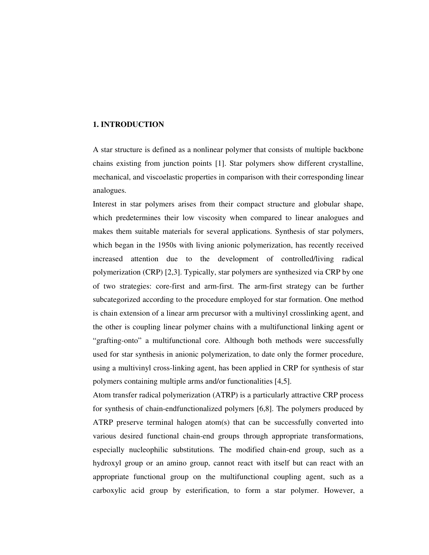## **1. INTRODUCTION**

A star structure is defined as a nonlinear polymer that consists of multiple backbone chains existing from junction points [1]. Star polymers show different crystalline, mechanical, and viscoelastic properties in comparison with their corresponding linear analogues.

Interest in star polymers arises from their compact structure and globular shape, which predetermines their low viscosity when compared to linear analogues and makes them suitable materials for several applications. Synthesis of star polymers, which began in the 1950s with living anionic polymerization, has recently received increased attention due to the development of controlled/living radical polymerization (CRP) [2,3]. Typically, star polymers are synthesized via CRP by one of two strategies: core-first and arm-first. The arm-first strategy can be further subcategorized according to the procedure employed for star formation. One method is chain extension of a linear arm precursor with a multivinyl crosslinking agent, and the other is coupling linear polymer chains with a multifunctional linking agent or "grafting-onto" a multifunctional core. Although both methods were successfully used for star synthesis in anionic polymerization, to date only the former procedure, using a multivinyl cross-linking agent, has been applied in CRP for synthesis of star polymers containing multiple arms and/or functionalities [4,5].

Atom transfer radical polymerization (ATRP) is a particularly attractive CRP process for synthesis of chain-endfunctionalized polymers [6,8]. The polymers produced by ATRP preserve terminal halogen atom(s) that can be successfully converted into various desired functional chain-end groups through appropriate transformations, especially nucleophilic substitutions. The modified chain-end group, such as a hydroxyl group or an amino group, cannot react with itself but can react with an appropriate functional group on the multifunctional coupling agent, such as a carboxylic acid group by esterification, to form a star polymer. However, a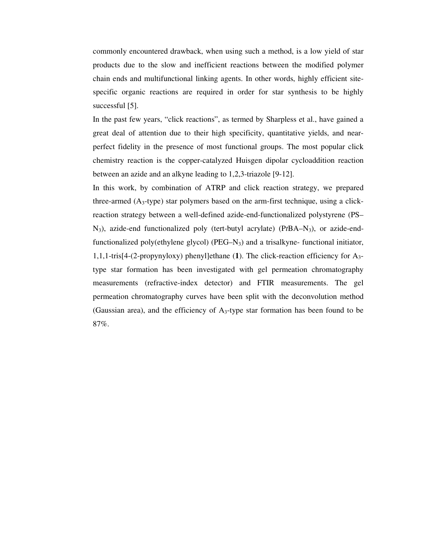commonly encountered drawback, when using such a method, is a low yield of star products due to the slow and inefficient reactions between the modified polymer chain ends and multifunctional linking agents. In other words, highly efficient sitespecific organic reactions are required in order for star synthesis to be highly successful [5].

In the past few years, "click reactions", as termed by Sharpless et al., have gained a great deal of attention due to their high specificity, quantitative yields, and nearperfect fidelity in the presence of most functional groups. The most popular click chemistry reaction is the copper-catalyzed Huisgen dipolar cycloaddition reaction between an azide and an alkyne leading to 1,2,3-triazole [9-12].

In this work, by combination of ATRP and click reaction strategy, we prepared three-armed  $(A_3$ -type) star polymers based on the arm-first technique, using a clickreaction strategy between a well-defined azide-end-functionalized polystyrene (PS– N3), azide-end functionalized poly (tert-butyl acrylate) (P*t*BA–N3), or azide-endfunctionalized poly(ethylene glycol) ( $PEG-N_3$ ) and a trisalkyne-functional initiator, 1,1,1-tris[4-(2-propynyloxy) phenyl]ethane (**1**). The click-reaction efficiency for A3 type star formation has been investigated with gel permeation chromatography measurements (refractive-index detector) and FTIR measurements. The gel permeation chromatography curves have been split with the deconvolution method (Gaussian area), and the efficiency of  $A_3$ -type star formation has been found to be 87%.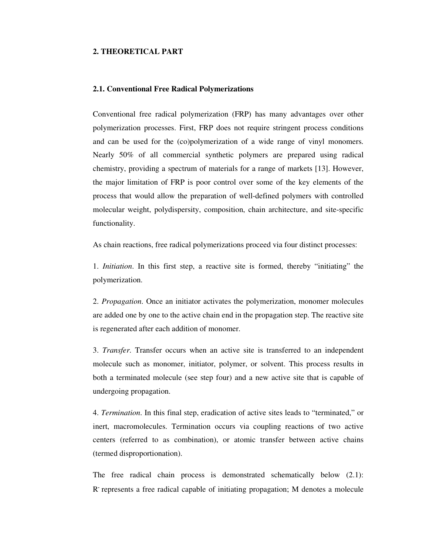#### **2. THEORETICAL PART**

#### **2.1. Conventional Free Radical Polymerizations**

Conventional free radical polymerization (FRP) has many advantages over other polymerization processes. First, FRP does not require stringent process conditions and can be used for the (co)polymerization of a wide range of vinyl monomers. Nearly 50% of all commercial synthetic polymers are prepared using radical chemistry, providing a spectrum of materials for a range of markets [13]. However, the major limitation of FRP is poor control over some of the key elements of the process that would allow the preparation of well-defined polymers with controlled molecular weight, polydispersity, composition, chain architecture, and site-specific functionality.

As chain reactions, free radical polymerizations proceed via four distinct processes:

1. *Initiation*. In this first step, a reactive site is formed, thereby "initiating" the polymerization.

2. *Propagation*. Once an initiator activates the polymerization, monomer molecules are added one by one to the active chain end in the propagation step. The reactive site is regenerated after each addition of monomer.

3. *Transfer*. Transfer occurs when an active site is transferred to an independent molecule such as monomer, initiator, polymer, or solvent. This process results in both a terminated molecule (see step four) and a new active site that is capable of undergoing propagation.

4. *Termination*. In this final step, eradication of active sites leads to "terminated," or inert, macromolecules. Termination occurs via coupling reactions of two active centers (referred to as combination), or atomic transfer between active chains (termed disproportionation).

The free radical chain process is demonstrated schematically below (2.1): R represents a free radical capable of initiating propagation; M denotes a molecule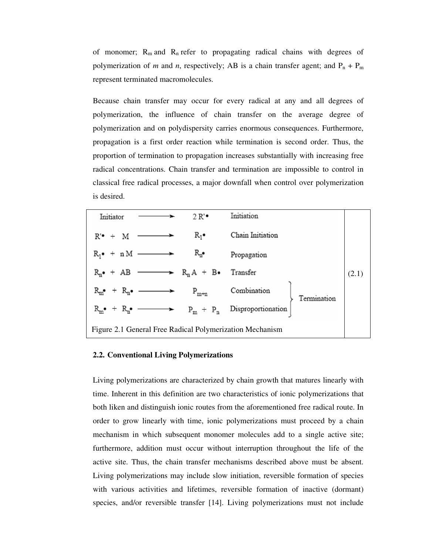of monomer;  $R_m$  and  $R_n$  refer to propagating radical chains with degrees of polymerization of *m* and *n*, respectively; AB is a chain transfer agent; and  $P_n + P_m$ represent terminated macromolecules.

Because chain transfer may occur for every radical at any and all degrees of polymerization, the influence of chain transfer on the average degree of polymerization and on polydispersity carries enormous consequences. Furthermore, propagation is a first order reaction while termination is second order. Thus, the proportion of termination to propagation increases substantially with increasing free radical concentrations. Chain transfer and termination are impossible to control in classical free radical processes, a major downfall when control over polymerization is desired.

| Initiator                                                                               |  | 2R                                                            | Initiation                                                                                                                                                                                  |  |
|-----------------------------------------------------------------------------------------|--|---------------------------------------------------------------|---------------------------------------------------------------------------------------------------------------------------------------------------------------------------------------------|--|
| $R^{\prime\bullet}$ + M -                                                               |  | $R_1$ .                                                       | Chain Initiation                                                                                                                                                                            |  |
| $R_1 \bullet + n M \longrightarrow$                                                     |  | $R_n$                                                         | Propagation                                                                                                                                                                                 |  |
|                                                                                         |  | $R_n \bullet + AB \longrightarrow R_n A + B \bullet$ Transfer |                                                                                                                                                                                             |  |
| $\mathbf{R}_{\mathbf{m}^{\bullet}} + \mathbf{R}_{\mathbf{n}^{\bullet}} \longrightarrow$ |  | $P_{m+n}$                                                     | Combination<br>Termination                                                                                                                                                                  |  |
|                                                                                         |  |                                                               | $\mathbf{R}_{\mathbf{m}^\bullet} \ + \ \mathbf{R}_{\mathbf{n}^\bullet} \ \ \longrightarrow \qquad \mathbf{P}_{\mathbf{m}} \ + \ \mathbf{P}_{\mathbf{n}} \quad \  \text{Disproportionation}$ |  |
| Figure 2.1 General Free Radical Polymerization Mechanism                                |  |                                                               |                                                                                                                                                                                             |  |

#### **2.2. Conventional Living Polymerizations**

Living polymerizations are characterized by chain growth that matures linearly with time. Inherent in this definition are two characteristics of ionic polymerizations that both liken and distinguish ionic routes from the aforementioned free radical route. In order to grow linearly with time, ionic polymerizations must proceed by a chain mechanism in which subsequent monomer molecules add to a single active site; furthermore, addition must occur without interruption throughout the life of the active site. Thus, the chain transfer mechanisms described above must be absent. Living polymerizations may include slow initiation, reversible formation of species with various activities and lifetimes, reversible formation of inactive (dormant) species, and/or reversible transfer [14]. Living polymerizations must not include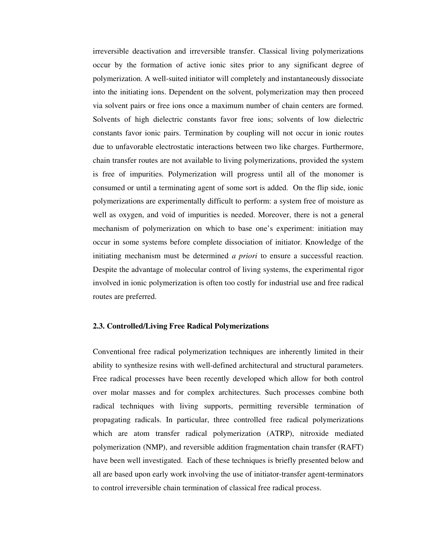irreversible deactivation and irreversible transfer. Classical living polymerizations occur by the formation of active ionic sites prior to any significant degree of polymerization. A well-suited initiator will completely and instantaneously dissociate into the initiating ions. Dependent on the solvent, polymerization may then proceed via solvent pairs or free ions once a maximum number of chain centers are formed. Solvents of high dielectric constants favor free ions; solvents of low dielectric constants favor ionic pairs. Termination by coupling will not occur in ionic routes due to unfavorable electrostatic interactions between two like charges. Furthermore, chain transfer routes are not available to living polymerizations, provided the system is free of impurities. Polymerization will progress until all of the monomer is consumed or until a terminating agent of some sort is added. On the flip side, ionic polymerizations are experimentally difficult to perform: a system free of moisture as well as oxygen, and void of impurities is needed. Moreover, there is not a general mechanism of polymerization on which to base one's experiment: initiation may occur in some systems before complete dissociation of initiator. Knowledge of the initiating mechanism must be determined *a priori* to ensure a successful reaction. Despite the advantage of molecular control of living systems, the experimental rigor involved in ionic polymerization is often too costly for industrial use and free radical routes are preferred.

#### **2.3. Controlled/Living Free Radical Polymerizations**

Conventional free radical polymerization techniques are inherently limited in their ability to synthesize resins with well-defined architectural and structural parameters. Free radical processes have been recently developed which allow for both control over molar masses and for complex architectures. Such processes combine both radical techniques with living supports, permitting reversible termination of propagating radicals. In particular, three controlled free radical polymerizations which are atom transfer radical polymerization (ATRP), nitroxide mediated polymerization (NMP), and reversible addition fragmentation chain transfer (RAFT) have been well investigated. Each of these techniques is briefly presented below and all are based upon early work involving the use of initiator-transfer agent-terminators to control irreversible chain termination of classical free radical process.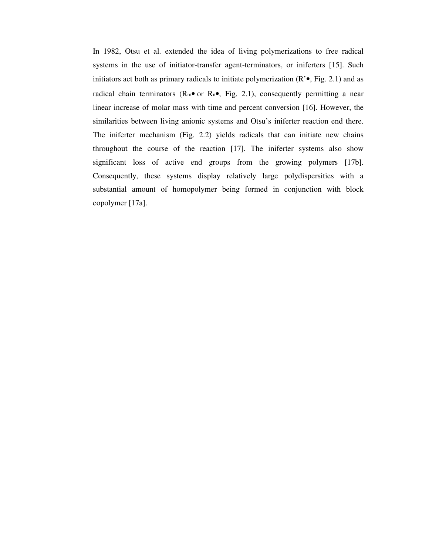In 1982, Otsu et al. extended the idea of living polymerizations to free radical systems in the use of initiator-transfer agent-terminators, or iniferters [15]. Such initiators act both as primary radicals to initiate polymerization  $(R<sup>o</sup>, Fig. 2.1)$  and as radical chain terminators ( $\mathbb{R}_{m}$ • or  $\mathbb{R}_{n}$ •, Fig. 2.1), consequently permitting a near linear increase of molar mass with time and percent conversion [16]. However, the similarities between living anionic systems and Otsu's iniferter reaction end there. The iniferter mechanism (Fig. 2.2) yields radicals that can initiate new chains throughout the course of the reaction [17]. The iniferter systems also show significant loss of active end groups from the growing polymers [17b]. Consequently, these systems display relatively large polydispersities with a substantial amount of homopolymer being formed in conjunction with block copolymer [17a].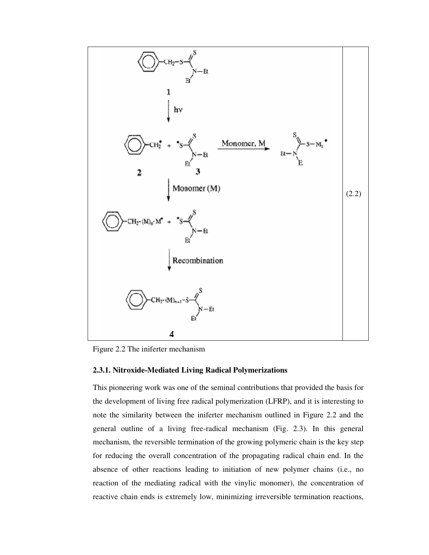

Figure 2.2 The iniferter mechanism

#### **2.3.1. Nitroxide-Mediated Living Radical Polymerizations**

This pioneering work was one of the seminal contributions that provided the basis for the development of living free radical polymerization (LFRP), and it is interesting to note the similarity between the iniferter mechanism outlined in Figure 2.2 and the general outline of a living free-radical mechanism (Fig. 2.3). In this general mechanism, the reversible termination of the growing polymeric chain is the key step for reducing the overall concentration of the propagating radical chain end. In the absence of other reactions leading to initiation of new polymer chains (i.e., no reaction of the mediating radical with the vinylic monomer), the concentration of reactive chain ends is extremely low, minimizing irreversible termination reactions,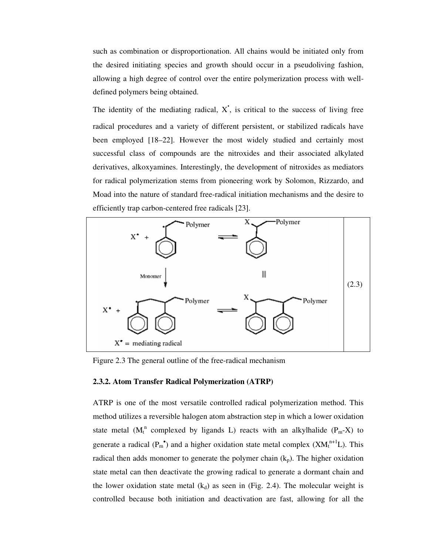such as combination or disproportionation. All chains would be initiated only from the desired initiating species and growth should occur in a pseudoliving fashion, allowing a high degree of control over the entire polymerization process with welldefined polymers being obtained.

**.**

The identity of the mediating radical, X , is critical to the success of living free radical procedures and a variety of different persistent, or stabilized radicals have been employed [18–22]. However the most widely studied and certainly most successful class of compounds are the nitroxides and their associated alkylated derivatives, alkoxyamines. Interestingly, the development of nitroxides as mediators for radical polymerization stems from pioneering work by Solomon, Rizzardo, and Moad into the nature of standard free-radical initiation mechanisms and the desire to efficiently trap carbon-centered free radicals [23].



Figure 2.3 The general outline of the free-radical mechanism

#### **2.3.2. Atom Transfer Radical Polymerization (ATRP)**

ATRP is one of the most versatile controlled radical polymerization method. This method utilizes a reversible halogen atom abstraction step in which a lower oxidation state metal ( $M_t^n$  complexed by ligands L) reacts with an alkylhalide ( $P_m-X$ ) to generate a radical  $(P_m^{\bullet})$  and a higher oxidation state metal complex  $(XM_t^{n+1}L)$ . This radical then adds monomer to generate the polymer chain  $(k_p)$ . The higher oxidation state metal can then deactivate the growing radical to generate a dormant chain and the lower oxidation state metal  $(k_d)$  as seen in (Fig. 2.4). The molecular weight is controlled because both initiation and deactivation are fast, allowing for all the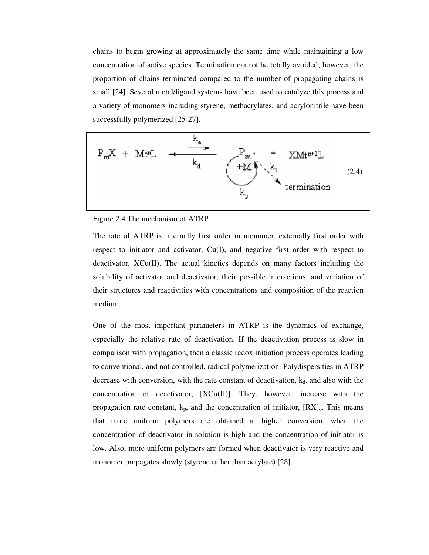chains to begin growing at approximately the same time while maintaining a low concentration of active species. Termination cannot be totally avoided; however, the proportion of chains terminated compared to the number of propagating chains is small [24]. Several metal/ligand systems have been used to catalyze this process and a variety of monomers including styrene, methacrylates, and acrylonitrile have been successfully polymerized [25-27].



Figure 2.4 The mechanism of ATRP

The rate of ATRP is internally first order in monomer, externally first order with respect to initiator and activator,  $Cu(I)$ , and negative first order with respect to deactivator,  $XCu(II)$ . The actual kinetics depends on many factors including the solubility of activator and deactivator, their possible interactions, and variation of their structures and reactivities with concentrations and composition of the reaction medium.

One of the most important parameters in ATRP is the dynamics of exchange, especially the relative rate of deactivation. If the deactivation process is slow in comparison with propagation, then a classic redox initiation process operates leading to conventional, and not controlled, radical polymerization. Polydispersities in ATRP decrease with conversion, with the rate constant of deactivation,  $k_d$ , and also with the concentration of deactivator, [XCu(II)]. They, however, increase with the propagation rate constant,  $k_p$ , and the concentration of initiator,  $[RX]_0$ . This means that more uniform polymers are obtained at higher conversion, when the concentration of deactivator in solution is high and the concentration of initiator is low. Also, more uniform polymers are formed when deactivator is very reactive and monomer propagates slowly (styrene rather than acrylate) [28].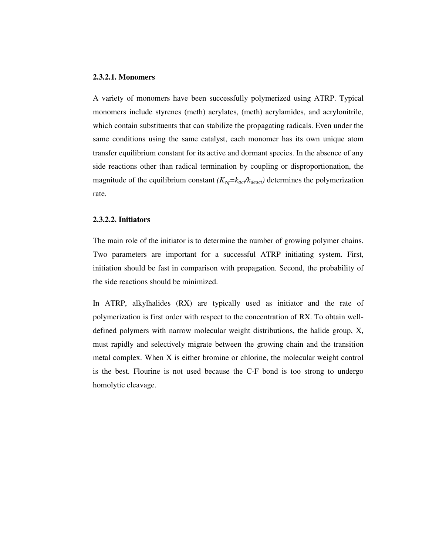## **2.3.2.1. Monomers**

A variety of monomers have been successfully polymerized using ATRP. Typical monomers include styrenes (meth) acrylates, (meth) acrylamides, and acrylonitrile, which contain substituents that can stabilize the propagating radicals. Even under the same conditions using the same catalyst, each monomer has its own unique atom transfer equilibrium constant for its active and dormant species. In the absence of any side reactions other than radical termination by coupling or disproportionation, the magnitude of the equilibrium constant  $(K_{eq} = k_{\text{act}}/k_{\text{deact}})$  determines the polymerization rate.

### **2.3.2.2. Initiators**

The main role of the initiator is to determine the number of growing polymer chains. Two parameters are important for a successful ATRP initiating system. First, initiation should be fast in comparison with propagation. Second, the probability of the side reactions should be minimized.

In ATRP, alkylhalides (RX) are typically used as initiator and the rate of polymerization is first order with respect to the concentration of RX. To obtain welldefined polymers with narrow molecular weight distributions, the halide group, X, must rapidly and selectively migrate between the growing chain and the transition metal complex. When X is either bromine or chlorine, the molecular weight control is the best. Flourine is not used because the C-F bond is too strong to undergo homolytic cleavage.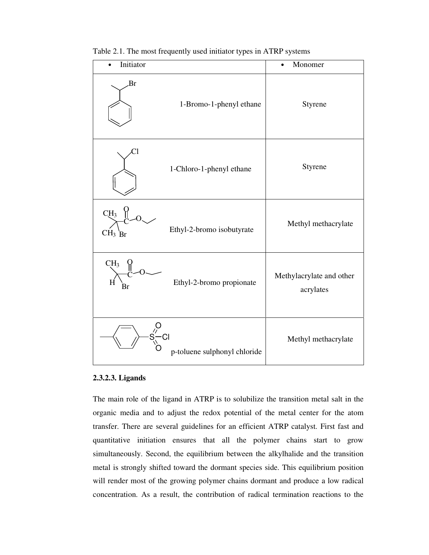| Initiator                                                           | Monomer<br>$\bullet$                  |
|---------------------------------------------------------------------|---------------------------------------|
| Br<br>1-Bromo-1-phenyl ethane                                       | Styrene                               |
| ា<br>1-Chloro-1-phenyl ethane                                       | Styrene                               |
| CH <sub>3</sub><br>Ethyl-2-bromo isobutyrate<br>$CH3$ <sub>Br</sub> | Methyl methacrylate                   |
| CH <sub>3</sub><br>Ethyl-2-bromo propionate<br>H<br>Br              | Methylacrylate and other<br>acrylates |
| $s$ <sup>2</sup> $C$<br>p-toluene sulphonyl chloride                | Methyl methacrylate                   |

Table 2.1. The most frequently used initiator types in ATRP systems

### **2.3.2.3. Ligands**

The main role of the ligand in ATRP is to solubilize the transition metal salt in the organic media and to adjust the redox potential of the metal center for the atom transfer. There are several guidelines for an efficient ATRP catalyst. First fast and quantitative initiation ensures that all the polymer chains start to grow simultaneously. Second, the equilibrium between the alkylhalide and the transition metal is strongly shifted toward the dormant species side. This equilibrium position will render most of the growing polymer chains dormant and produce a low radical concentration. As a result, the contribution of radical termination reactions to the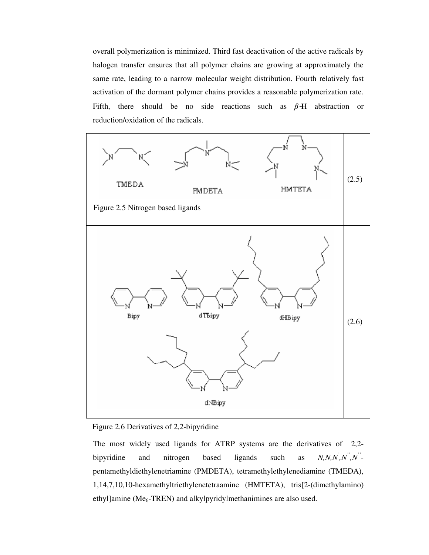overall polymerization is minimized. Third fast deactivation of the active radicals by halogen transfer ensures that all polymer chains are growing at approximately the same rate, leading to a narrow molecular weight distribution. Fourth relatively fast activation of the dormant polymer chains provides a reasonable polymerization rate. Fifth, there should be no side reactions such as  $\beta$ -H abstraction or reduction/oxidation of the radicals.



Figure 2.6 Derivatives of 2,2-bipyridine

The most widely used ligands for ATRP systems are the derivatives of 2,2 bipyridine and nitrogen based ligands such as *,N'',N''* pentamethyldiethylenetriamine (PMDETA), tetramethylethylenediamine (TMEDA), 1,14,7,10,10-hexamethyltriethylenetetraamine (HMTETA), tris[2-(dimethylamino) ethyl]amine ( $Me<sub>6</sub>$ -TREN) and alkylpyridylmethanimines are also used.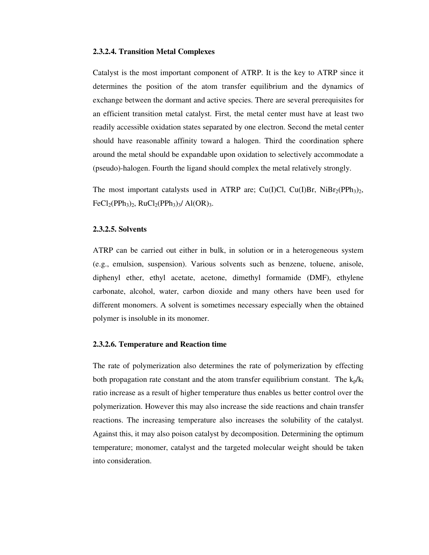#### **2.3.2.4. Transition Metal Complexes**

Catalyst is the most important component of ATRP. It is the key to ATRP since it determines the position of the atom transfer equilibrium and the dynamics of exchange between the dormant and active species. There are several prerequisites for an efficient transition metal catalyst. First, the metal center must have at least two readily accessible oxidation states separated by one electron. Second the metal center should have reasonable affinity toward a halogen. Third the coordination sphere around the metal should be expandable upon oxidation to selectively accommodate a (pseudo)-halogen. Fourth the ligand should complex the metal relatively strongly.

The most important catalysts used in ATRP are; Cu(I)Cl, Cu(I)Br, NiBr<sub>2</sub>(PPh<sub>3</sub>)<sub>2</sub>,  $FeCl<sub>2</sub>(PPh<sub>3</sub>)<sub>2</sub>$ , RuCl<sub>2</sub>(PPh<sub>3</sub>)<sub>3</sub>/ Al(OR)<sub>3</sub>.

#### **2.3.2.5. Solvents**

ATRP can be carried out either in bulk, in solution or in a heterogeneous system (e.g., emulsion, suspension). Various solvents such as benzene, toluene, anisole, diphenyl ether, ethyl acetate, acetone, dimethyl formamide (DMF), ethylene carbonate, alcohol, water, carbon dioxide and many others have been used for different monomers. A solvent is sometimes necessary especially when the obtained polymer is insoluble in its monomer.

#### **2.3.2.6. Temperature and Reaction time**

The rate of polymerization also determines the rate of polymerization by effecting both propagation rate constant and the atom transfer equilibrium constant. The  $k_p/k_t$ ratio increase as a result of higher temperature thus enables us better control over the polymerization. However this may also increase the side reactions and chain transfer reactions. The increasing temperature also increases the solubility of the catalyst. Against this, it may also poison catalyst by decomposition. Determining the optimum temperature; monomer, catalyst and the targeted molecular weight should be taken into consideration.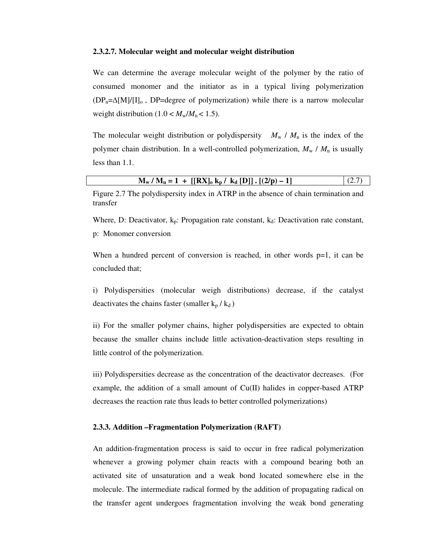#### **2.3.2.7. Molecular weight and molecular weight distribution**

We can determine the average molecular weight of the polymer by the ratio of consumed monomer and the initiator as in a typical living polymerization  $(DP_n=\Delta[M]/[I]_0$ , DP=degree of polymerization) while there is a narrow molecular weight distribution  $(1.0 < M_w/M_n < 1.5)$ .

The molecular weight distribution or polydispersity  $M_w / M_n$  is the index of the polymer chain distribution. In a well-controlled polymerization,  $M_w / M_n$  is usually less than 1.1.

| $M_w / M_n = 1 + [[RX]_0 k_p / k_d [D]]$ . [(2/p) – 1] |  |
|--------------------------------------------------------|--|
|--------------------------------------------------------|--|

Figure 2.7 The polydispersity index in ATRP in the absence of chain termination and transfer

Where, D: Deactivator,  $k_p$ : Propagation rate constant,  $k_d$ : Deactivation rate constant, p: Monomer conversion

When a hundred percent of conversion is reached, in other words  $p=1$ , it can be concluded that;

i) Polydispersities (molecular weigh distributions) decrease, if the catalyst deactivates the chains faster (smaller  $k_p / k_d$ )

ii) For the smaller polymer chains, higher polydispersities are expected to obtain because the smaller chains include little activation-deactivation steps resulting in little control of the polymerization.

iii) Polydispersities decrease as the concentration of the deactivator decreases. (For example, the addition of a small amount of Cu(II) halides in copper-based ATRP decreases the reaction rate thus leads to better controlled polymerizations)

#### **2.3.3. Addition –Fragmentation Polymerization (RAFT)**

An addition-fragmentation process is said to occur in free radical polymerization whenever a growing polymer chain reacts with a compound bearing both an activated site of unsaturation and a weak bond located somewhere else in the molecule. The intermediate radical formed by the addition of propagating radical on the transfer agent undergoes fragmentation involving the weak bond generating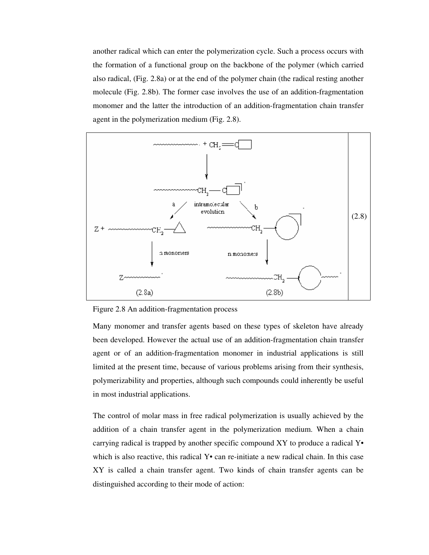another radical which can enter the polymerization cycle. Such a process occurs with the formation of a functional group on the backbone of the polymer (which carried also radical, (Fig. 2.8a) or at the end of the polymer chain (the radical resting another molecule (Fig. 2.8b). The former case involves the use of an addition-fragmentation monomer and the latter the introduction of an addition-fragmentation chain transfer agent in the polymerization medium (Fig. 2.8).

![](_page_26_Figure_1.jpeg)

Figure 2.8 An addition-fragmentation process

Many monomer and transfer agents based on these types of skeleton have already been developed. However the actual use of an addition-fragmentation chain transfer agent or of an addition-fragmentation monomer in industrial applications is still limited at the present time, because of various problems arising from their synthesis, polymerizability and properties, although such compounds could inherently be useful in most industrial applications.

The control of molar mass in free radical polymerization is usually achieved by the addition of a chain transfer agent in the polymerization medium. When a chain carrying radical is trapped by another specific compound XY to produce a radical Y• which is also reactive, this radical  $Y\bullet$  can re-initiate a new radical chain. In this case XY is called a chain transfer agent. Two kinds of chain transfer agents can be distinguished according to their mode of action: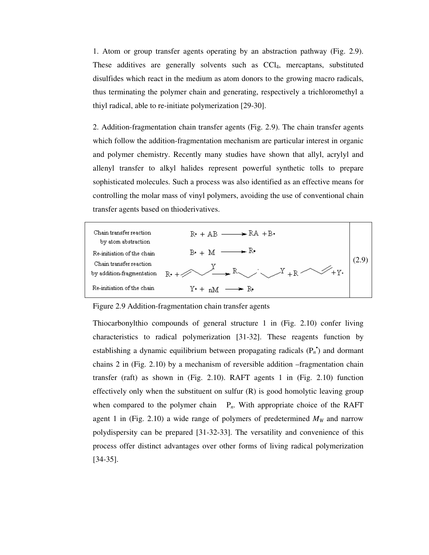1. Atom or group transfer agents operating by an abstraction pathway (Fig. 2.9). These additives are generally solvents such as CCl4, mercaptans, substituted disulfides which react in the medium as atom donors to the growing macro radicals, thus terminating the polymer chain and generating, respectively a trichloromethyl a thiyl radical, able to re-initiate polymerization [29-30].

2. Addition-fragmentation chain transfer agents (Fig. 2.9). The chain transfer agents which follow the addition-fragmentation mechanism are particular interest in organic and polymer chemistry. Recently many studies have shown that allyl, acrylyl and allenyl transfer to alkyl halides represent powerful synthetic tolls to prepare sophisticated molecules. Such a process was also identified as an effective means for controlling the molar mass of vinyl polymers, avoiding the use of conventional chain transfer agents based on thioderivatives.

![](_page_27_Figure_2.jpeg)

Figure 2.9 Addition-fragmentation chain transfer agents

Thiocarbonylthio compounds of general structure 1 in (Fig. 2.10) confer living characteristics to radical polymerization [31-32]. These reagents function by establishing a dynamic equilibrium between propagating radicals  $(P_n)$  and dormant chains 2 in (Fig. 2.10) by a mechanism of reversible addition –fragmentation chain transfer (raft) as shown in (Fig. 2.10). RAFT agents 1 in (Fig. 2.10) function effectively only when the substituent on sulfur  $(R)$  is good homolytic leaving group when compared to the polymer chain  $P_n$ . With appropriate choice of the RAFT agent 1 in (Fig. 2.10) a wide range of polymers of predetermined  $M_W$  and narrow polydispersity can be prepared [31-32-33]. The versatility and convenience of this process offer distinct advantages over other forms of living radical polymerization [34-35].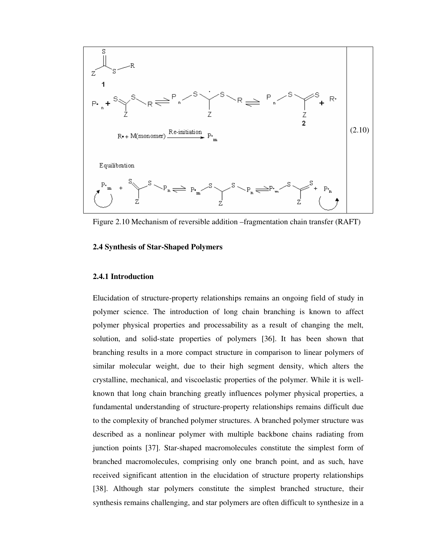![](_page_28_Figure_0.jpeg)

Figure 2.10 Mechanism of reversible addition –fragmentation chain transfer (RAFT)

## **2.4 Synthesis of Star-Shaped Polymers**

#### **2.4.1 Introduction**

Elucidation of structure-property relationships remains an ongoing field of study in polymer science. The introduction of long chain branching is known to affect polymer physical properties and processability as a result of changing the melt, solution, and solid-state properties of polymers [36]. It has been shown that branching results in a more compact structure in comparison to linear polymers of similar molecular weight, due to their high segment density, which alters the crystalline, mechanical, and viscoelastic properties of the polymer. While it is wellknown that long chain branching greatly influences polymer physical properties, a fundamental understanding of structure-property relationships remains difficult due to the complexity of branched polymer structures. A branched polymer structure was described as a nonlinear polymer with multiple backbone chains radiating from junction points [37]. Star-shaped macromolecules constitute the simplest form of branched macromolecules, comprising only one branch point, and as such, have received significant attention in the elucidation of structure property relationships [38]. Although star polymers constitute the simplest branched structure, their synthesis remains challenging, and star polymers are often difficult to synthesize in a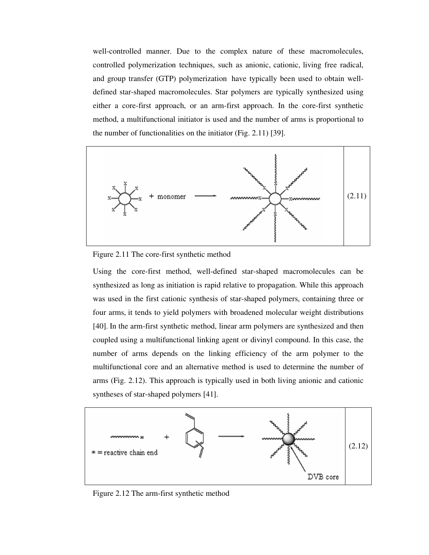well-controlled manner. Due to the complex nature of these macromolecules, controlled polymerization techniques, such as anionic, cationic, living free radical, and group transfer (GTP) polymerization have typically been used to obtain welldefined star-shaped macromolecules. Star polymers are typically synthesized using either a core-first approach, or an arm-first approach. In the core-first synthetic method, a multifunctional initiator is used and the number of arms is proportional to the number of functionalities on the initiator (Fig. 2.11) [39].

![](_page_29_Figure_1.jpeg)

Figure 2.11 The core-first synthetic method

Using the core-first method, well-defined star-shaped macromolecules can be synthesized as long as initiation is rapid relative to propagation. While this approach was used in the first cationic synthesis of star-shaped polymers, containing three or four arms, it tends to yield polymers with broadened molecular weight distributions [40]. In the arm-first synthetic method, linear arm polymers are synthesized and then coupled using a multifunctional linking agent or divinyl compound. In this case, the number of arms depends on the linking efficiency of the arm polymer to the multifunctional core and an alternative method is used to determine the number of arms (Fig. 2.12). This approach is typically used in both living anionic and cationic syntheses of star-shaped polymers [41].

![](_page_29_Figure_4.jpeg)

Figure 2.12 The arm-first synthetic method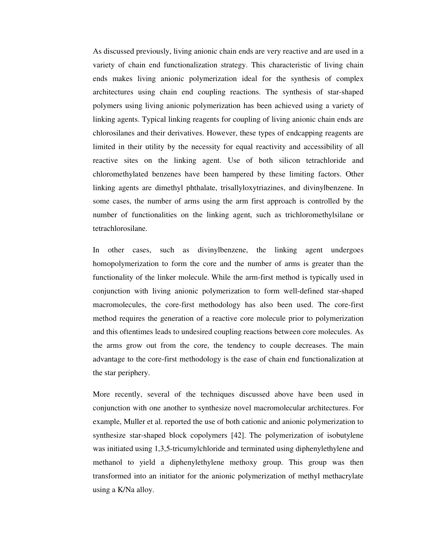As discussed previously, living anionic chain ends are very reactive and are used in a variety of chain end functionalization strategy. This characteristic of living chain ends makes living anionic polymerization ideal for the synthesis of complex architectures using chain end coupling reactions. The synthesis of star-shaped polymers using living anionic polymerization has been achieved using a variety of linking agents. Typical linking reagents for coupling of living anionic chain ends are chlorosilanes and their derivatives. However, these types of endcapping reagents are limited in their utility by the necessity for equal reactivity and accessibility of all reactive sites on the linking agent. Use of both silicon tetrachloride and chloromethylated benzenes have been hampered by these limiting factors. Other linking agents are dimethyl phthalate, trisallyloxytriazines, and divinylbenzene. In some cases, the number of arms using the arm first approach is controlled by the number of functionalities on the linking agent, such as trichloromethylsilane or tetrachlorosilane.

In other cases, such as divinylbenzene, the linking agent undergoes homopolymerization to form the core and the number of arms is greater than the functionality of the linker molecule. While the arm-first method is typically used in conjunction with living anionic polymerization to form well-defined star-shaped macromolecules, the core-first methodology has also been used. The core-first method requires the generation of a reactive core molecule prior to polymerization and this oftentimes leads to undesired coupling reactions between core molecules. As the arms grow out from the core, the tendency to couple decreases. The main advantage to the core-first methodology is the ease of chain end functionalization at the star periphery.

More recently, several of the techniques discussed above have been used in conjunction with one another to synthesize novel macromolecular architectures. For example, Muller et al. reported the use of both cationic and anionic polymerization to synthesize star-shaped block copolymers [42]. The polymerization of isobutylene was initiated using 1,3,5-tricumylchloride and terminated using diphenylethylene and methanol to yield a diphenylethylene methoxy group. This group was then transformed into an initiator for the anionic polymerization of methyl methacrylate using a K/Na alloy.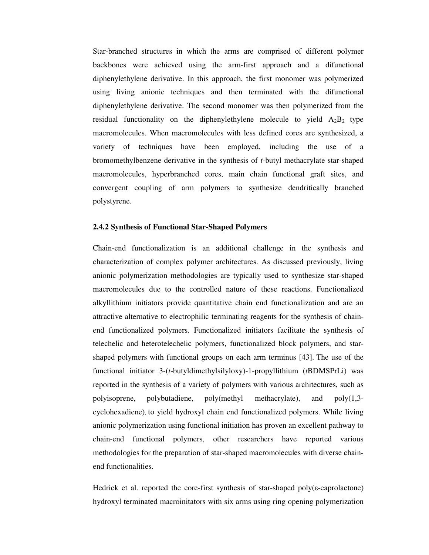Star-branched structures in which the arms are comprised of different polymer backbones were achieved using the arm-first approach and a difunctional diphenylethylene derivative. In this approach, the first monomer was polymerized using living anionic techniques and then terminated with the difunctional diphenylethylene derivative. The second monomer was then polymerized from the residual functionality on the diphenylethylene molecule to yield  $A_2B_2$  type macromolecules. When macromolecules with less defined cores are synthesized, a variety of techniques have been employed, including the use of a bromomethylbenzene derivative in the synthesis of *t*-butyl methacrylate star-shaped macromolecules, hyperbranched cores, main chain functional graft sites, and convergent coupling of arm polymers to synthesize dendritically branched polystyrene.

## **2.4.2 Synthesis of Functional Star-Shaped Polymers**

Chain-end functionalization is an additional challenge in the synthesis and characterization of complex polymer architectures. As discussed previously, living anionic polymerization methodologies are typically used to synthesize star-shaped macromolecules due to the controlled nature of these reactions. Functionalized alkyllithium initiators provide quantitative chain end functionalization and are an attractive alternative to electrophilic terminating reagents for the synthesis of chainend functionalized polymers. Functionalized initiators facilitate the synthesis of telechelic and heterotelechelic polymers, functionalized block polymers, and starshaped polymers with functional groups on each arm terminus [43]. The use of the functional initiator 3-(*t*-butyldimethylsilyloxy)-1-propyllithium (*t*BDMSPrLi) was reported in the synthesis of a variety of polymers with various architectures, such as polyisoprene, polybutadiene, poly(methyl methacrylate), and poly(1,3 cyclohexadiene), to yield hydroxyl chain end functionalized polymers. While living anionic polymerization using functional initiation has proven an excellent pathway to chain-end functional polymers, other researchers have reported various methodologies for the preparation of star-shaped macromolecules with diverse chainend functionalities.

Hedrick et al. reported the core-first synthesis of star-shaped  $poly(\varepsilon$ -caprolactone) hydroxyl terminated macroinitators with six arms using ring opening polymerization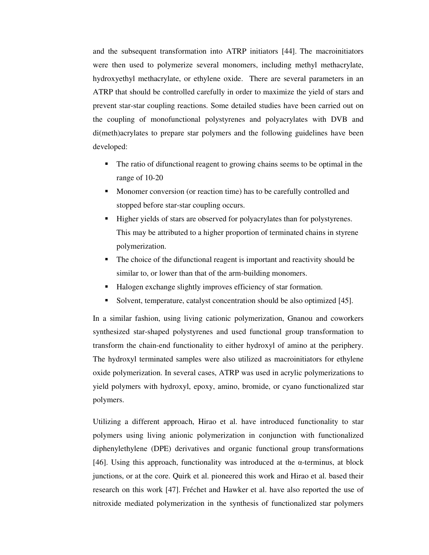and the subsequent transformation into ATRP initiators [44]. The macroinitiators were then used to polymerize several monomers, including methyl methacrylate, hydroxyethyl methacrylate, or ethylene oxide. There are several parameters in an ATRP that should be controlled carefully in order to maximize the yield of stars and prevent star-star coupling reactions. Some detailed studies have been carried out on the coupling of monofunctional polystyrenes and polyacrylates with DVB and di(meth)acrylates to prepare star polymers and the following guidelines have been developed:

- The ratio of difunctional reagent to growing chains seems to be optimal in the range of 10-20
- Monomer conversion (or reaction time) has to be carefully controlled and stopped before star-star coupling occurs.
- Higher yields of stars are observed for polyacrylates than for polystyrenes. This may be attributed to a higher proportion of terminated chains in styrene polymerization.
- The choice of the difunctional reagent is important and reactivity should be similar to, or lower than that of the arm-building monomers.
- Halogen exchange slightly improves efficiency of star formation.
- -Solvent, temperature, catalyst concentration should be also optimized [45].

In a similar fashion, using living cationic polymerization, Gnanou and coworkers synthesized star-shaped polystyrenes and used functional group transformation to transform the chain-end functionality to either hydroxyl of amino at the periphery. The hydroxyl terminated samples were also utilized as macroinitiators for ethylene oxide polymerization. In several cases, ATRP was used in acrylic polymerizations to yield polymers with hydroxyl, epoxy, amino, bromide, or cyano functionalized star polymers.

Utilizing a different approach, Hirao et al. have introduced functionality to star polymers using living anionic polymerization in conjunction with functionalized diphenylethylene (DPE) derivatives and organic functional group transformations [46]. Using this approach, functionality was introduced at the  $\alpha$ -terminus, at block junctions, or at the core. Quirk et al. pioneered this work and Hirao et al. based their research on this work [47]. Fréchet and Hawker et al. have also reported the use of nitroxide mediated polymerization in the synthesis of functionalized star polymers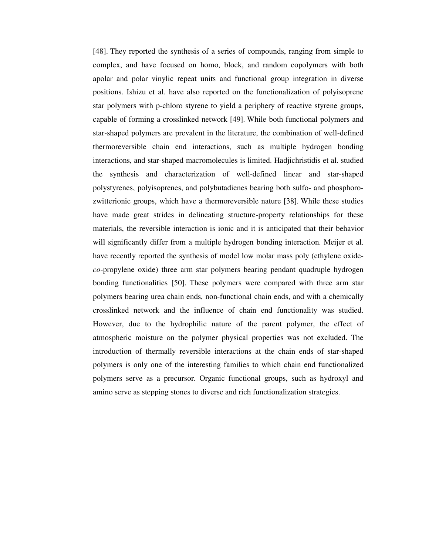[48]. They reported the synthesis of a series of compounds, ranging from simple to complex, and have focused on homo, block, and random copolymers with both apolar and polar vinylic repeat units and functional group integration in diverse positions. Ishizu et al. have also reported on the functionalization of polyisoprene star polymers with p-chloro styrene to yield a periphery of reactive styrene groups, capable of forming a crosslinked network [49]. While both functional polymers and star-shaped polymers are prevalent in the literature, the combination of well-defined thermoreversible chain end interactions, such as multiple hydrogen bonding interactions, and star-shaped macromolecules is limited. Hadjichristidis et al. studied the synthesis and characterization of well-defined linear and star-shaped polystyrenes, polyisoprenes, and polybutadienes bearing both sulfo- and phosphorozwitterionic groups, which have a thermoreversible nature [38]. While these studies have made great strides in delineating structure-property relationships for these materials, the reversible interaction is ionic and it is anticipated that their behavior will significantly differ from a multiple hydrogen bonding interaction. Meijer et al. have recently reported the synthesis of model low molar mass poly (ethylene oxide*co*-propylene oxide) three arm star polymers bearing pendant quadruple hydrogen bonding functionalities [50]. These polymers were compared with three arm star polymers bearing urea chain ends, non-functional chain ends, and with a chemically crosslinked network and the influence of chain end functionality was studied. However, due to the hydrophilic nature of the parent polymer, the effect of atmospheric moisture on the polymer physical properties was not excluded. The introduction of thermally reversible interactions at the chain ends of star-shaped polymers is only one of the interesting families to which chain end functionalized polymers serve as a precursor. Organic functional groups, such as hydroxyl and amino serve as stepping stones to diverse and rich functionalization strategies.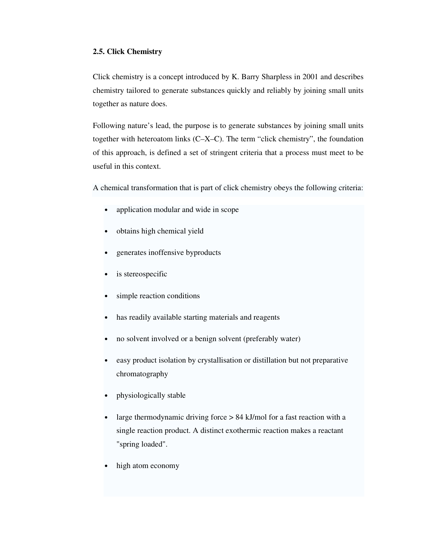### **2.5. Click Chemistry**

Click chemistry is a concept introduced by K. Barry Sharpless in 2001 and describes chemistry tailored to generate substances quickly and reliably by joining small units together as nature does.

Following nature's lead, the purpose is to generate substances by joining small units together with heteroatom links (C–X–C). The term "click chemistry", the foundation of this approach, is defined a set of stringent criteria that a process must meet to be useful in this context.

A chemical transformation that is part of click chemistry obeys the following criteria:

- application modular and wide in scope
- obtains high chemical yield
- generates inoffensive byproducts
- is stereospecific
- simple reaction conditions
- has readily available starting materials and reagents
- no solvent involved or a benign solvent (preferably water)
- easy product isolation by crystallisation or distillation but not preparative chromatography
- physiologically stable
- large thermodynamic driving force  $> 84$  kJ/mol for a fast reaction with a single reaction product. A distinct exothermic reaction makes a reactant "spring loaded".
- high atom economy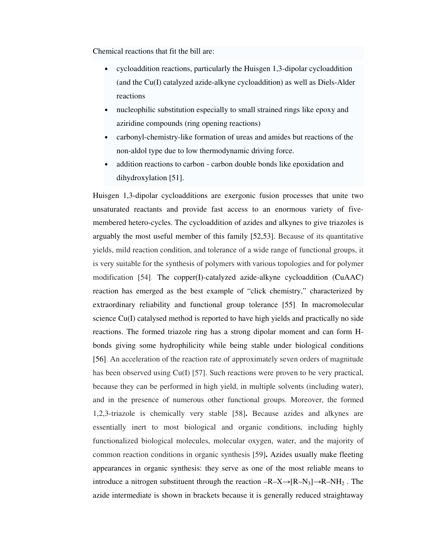Chemical reactions that fit the bill are:

- cycloaddition reactions, particularly the Huisgen 1,3-dipolar cycloaddition (and the Cu(I) catalyzed azide-alkyne cycloaddition) as well as Diels-Alder reactions
- nucleophilic substitution especially to small strained rings like epoxy and aziridine compounds (ring opening reactions)
- carbonyl-chemistry-like formation of ureas and amides but reactions of the non-aldol type due to low thermodynamic driving force.
- addition reactions to carbon carbon double bonds like epoxidation and dihydroxylation [51].

Huisgen 1,3-dipolar cycloadditions are exergonic fusion processes that unite two unsaturated reactants and provide fast access to an enormous variety of fivemembered hetero-cycles. The cycloaddition of azides and alkynes to give triazoles is arguably the most useful member of this family [52,53]. Because of its quantitative yields, mild reaction condition, and tolerance of a wide range of functional groups, it is very suitable for the synthesis of polymers with various topologies and for polymer modification [54]. The copper(I)-catalyzed azide-alkyne cycloaddition (CuAAC) reaction has emerged as the best example of "click chemistry," characterized by extraordinary reliability and functional group tolerance [55]. In macromolecular science Cu(I) catalysed method is reported to have high yields and practically no side reactions. The formed triazole ring has a strong dipolar moment and can form Hbonds giving some hydrophilicity while being stable under biological conditions [56]. An acceleration of the reaction rate of approximately seven orders of magnitude has been observed using Cu(I) [57]. Such reactions were proven to be very practical, because they can be performed in high yield, in multiple solvents (including water), and in the presence of numerous other functional groups. Moreover, the formed 1,2,3-triazole is chemically very stable [58]**.** Because azides and alkynes are essentially inert to most biological and organic conditions, including highly functionalized biological molecules, molecular oxygen, water, and the majority of common reaction conditions in organic synthesis [59]**.** Azides usually make fleeting appearances in organic synthesis: they serve as one of the most reliable means to introduce a nitrogen substituent through the reaction  $-R-X\rightarrow [R-N_3]\rightarrow R-NH_2$ . The azide intermediate is shown in brackets because it is generally reduced straightaway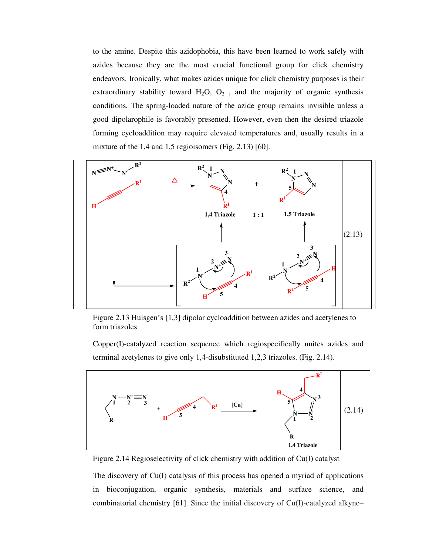to the amine. Despite this azidophobia, this have been learned to work safely with azides because they are the most crucial functional group for click chemistry endeavors. Ironically, what makes azides unique for click chemistry purposes is their extraordinary stability toward  $H_2O$ ,  $O_2$ , and the majority of organic synthesis conditions. The spring-loaded nature of the azide group remains invisible unless a good dipolarophile is favorably presented. However, even then the desired triazole forming cycloaddition may require elevated temperatures and, usually results in a mixture of the 1,4 and 1,5 regioisomers (Fig. 2.13) [60].

![](_page_36_Figure_1.jpeg)

Figure 2.13 Huisgen's [1,3] dipolar cycloaddition between azides and acetylenes to form triazoles

Copper(I)-catalyzed reaction sequence which regiospecifically unites azides and terminal acetylenes to give only 1,4-disubstituted 1,2,3 triazoles. (Fig. 2.14).

![](_page_36_Figure_4.jpeg)

Figure 2.14 Regioselectivity of click chemistry with addition of Cu(I) catalyst

The discovery of Cu(I) catalysis of this process has opened a myriad of applications in bioconjugation, organic synthesis, materials and surface science, and combinatorial chemistry [61]. Since the initial discovery of Cu(I)-catalyzed alkyne–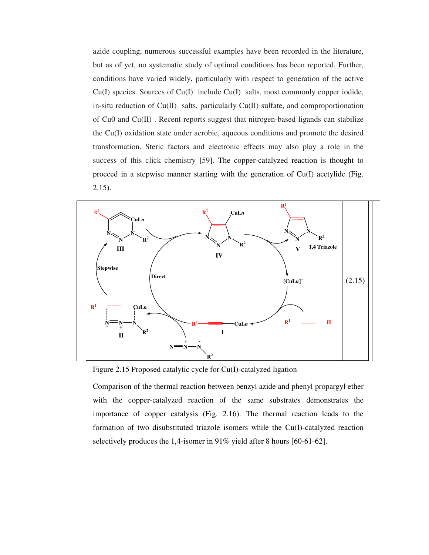azide coupling, numerous successful examples have been recorded in the literature, but as of yet, no systematic study of optimal conditions has been reported. Further, conditions have varied widely, particularly with respect to generation of the active Cu(I) species. Sources of Cu(I) include Cu(I) salts, most commonly copper iodide, in-situ reduction of Cu(II) salts, particularly Cu(II) sulfate, and comproportionation of Cu0 and Cu(II) . Recent reports suggest that nitrogen-based ligands can stabilize the Cu(I) oxidation state under aerobic, aqueous conditions and promote the desired transformation. Steric factors and electronic effects may also play a role in the success of this click chemistry [59]. The copper-catalyzed reaction is thought to proceed in a stepwise manner starting with the generation of Cu(I) acetylide (Fig. 2.15).

![](_page_37_Figure_1.jpeg)

Figure 2.15 Proposed catalytic cycle for Cu(I)-catalyzed ligation

Comparison of the thermal reaction between benzyl azide and phenyl propargyl ether with the copper-catalyzed reaction of the same substrates demonstrates the importance of copper catalysis (Fig. 2.16). The thermal reaction leads to the formation of two disubstituted triazole isomers while the Cu(I)-catalyzed reaction selectively produces the 1,4-isomer in 91% yield after 8 hours [60-61-62].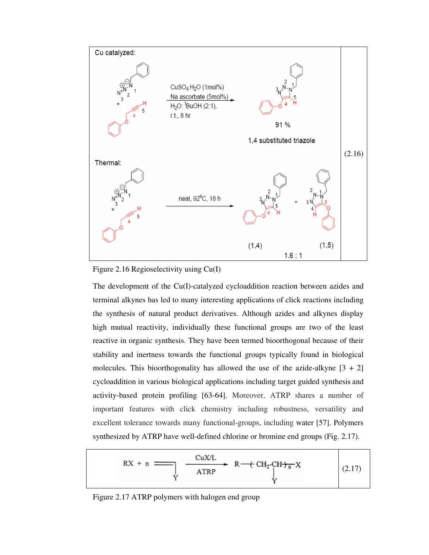![](_page_38_Figure_0.jpeg)

Figure 2.16 Regioselectivity using Cu(I)

The development of the Cu(I)-catalyzed cycloaddition reaction between azides and terminal alkynes has led to many interesting applications of click reactions including the synthesis of natural product derivatives. Although azides and alkynes display high mutual reactivity, individually these functional groups are two of the least reactive in organic synthesis. They have been termed bioorthogonal because of their stability and inertness towards the functional groups typically found in biological molecules. This bioorthogonality has allowed the use of the azide-alkyne  $[3 + 2]$ cycloaddition in various biological applications including target guided synthesis and activity-based protein profiling [63-64]. Moreover, ATRP shares a number of important features with click chemistry including robustness, versatility and excellent tolerance towards many functional-groups, including water [57]. Polymers synthesized by ATRP have well-defined chlorine or bromine end groups (Fig. 2.17).

![](_page_38_Figure_3.jpeg)

Figure 2.17 ATRP polymers with halogen end group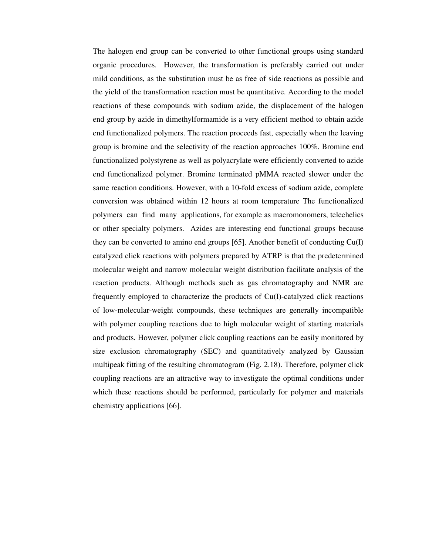The halogen end group can be converted to other functional groups using standard organic procedures. However, the transformation is preferably carried out under mild conditions, as the substitution must be as free of side reactions as possible and the yield of the transformation reaction must be quantitative. According to the model reactions of these compounds with sodium azide, the displacement of the halogen end group by azide in dimethylformamide is a very efficient method to obtain azide end functionalized polymers. The reaction proceeds fast, especially when the leaving group is bromine and the selectivity of the reaction approaches 100%. Bromine end functionalized polystyrene as well as polyacrylate were efficiently converted to azide end functionalized polymer. Bromine terminated pMMA reacted slower under the same reaction conditions. However, with a 10-fold excess of sodium azide, complete conversion was obtained within 12 hours at room temperature The functionalized polymers can find many applications, for example as macromonomers, telechelics or other specialty polymers. Azides are interesting end functional groups because they can be converted to amino end groups [65]. Another benefit of conducting Cu(I) catalyzed click reactions with polymers prepared by ATRP is that the predetermined molecular weight and narrow molecular weight distribution facilitate analysis of the reaction products. Although methods such as gas chromatography and NMR are frequently employed to characterize the products of Cu(I)-catalyzed click reactions of low-molecular-weight compounds, these techniques are generally incompatible with polymer coupling reactions due to high molecular weight of starting materials and products. However, polymer click coupling reactions can be easily monitored by size exclusion chromatography (SEC) and quantitatively analyzed by Gaussian multipeak fitting of the resulting chromatogram (Fig. 2.18). Therefore, polymer click coupling reactions are an attractive way to investigate the optimal conditions under which these reactions should be performed, particularly for polymer and materials chemistry applications [66].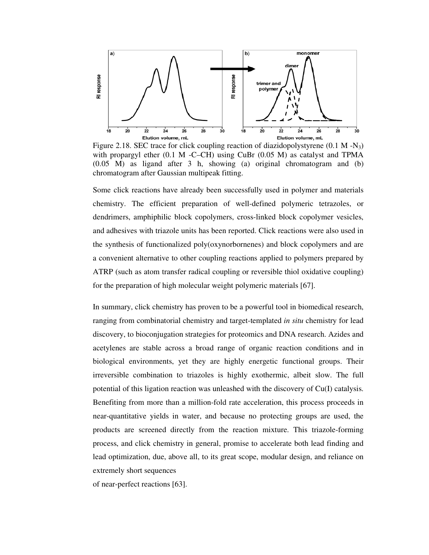![](_page_40_Figure_0.jpeg)

Figure 2.18. SEC trace for click coupling reaction of diazidopolystyrene  $(0.1 M - N_3)$ with propargyl ether  $(0.1 \text{ M} - C - CH)$  using CuBr  $(0.05 \text{ M})$  as catalyst and TPMA (0.05 M) as ligand after 3 h, showing (a) original chromatogram and (b) chromatogram after Gaussian multipeak fitting.

Some click reactions have already been successfully used in polymer and materials chemistry. The efficient preparation of well-defined polymeric tetrazoles, or dendrimers, amphiphilic block copolymers, cross-linked block copolymer vesicles, and adhesives with triazole units has been reported. Click reactions were also used in the synthesis of functionalized poly(oxynorbornenes) and block copolymers and are a convenient alternative to other coupling reactions applied to polymers prepared by ATRP (such as atom transfer radical coupling or reversible thiol oxidative coupling) for the preparation of high molecular weight polymeric materials [67].

In summary, click chemistry has proven to be a powerful tool in biomedical research, ranging from combinatorial chemistry and target-templated *in situ* chemistry for lead discovery, to bioconjugation strategies for proteomics and DNA research. Azides and acetylenes are stable across a broad range of organic reaction conditions and in biological environments, yet they are highly energetic functional groups. Their irreversible combination to triazoles is highly exothermic, albeit slow. The full potential of this ligation reaction was unleashed with the discovery of Cu(I) catalysis. Benefiting from more than a million-fold rate acceleration, this process proceeds in near-quantitative yields in water, and because no protecting groups are used, the products are screened directly from the reaction mixture. This triazole-forming process, and click chemistry in general, promise to accelerate both lead finding and lead optimization, due, above all, to its great scope, modular design, and reliance on extremely short sequences

of near-perfect reactions [63].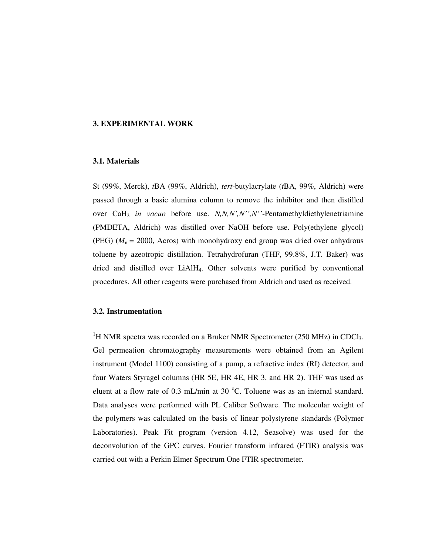### **3. EXPERIMENTAL WORK**

#### **3.1. Materials**

St (99%, Merck), *t*BA (99%, Aldrich), *tert*-butylacrylate (*t*BA, 99%, Aldrich) were passed through a basic alumina column to remove the inhibitor and then distilled over CaH<sup>2</sup> *in vacuo* before use. *N,N,N',N'',N''*-Pentamethyldiethylenetriamine (PMDETA, Aldrich) was distilled over NaOH before use. Poly(ethylene glycol) (PEG)  $(M_n = 2000, \text{Acros})$  with monohydroxy end group was dried over anhydrous toluene by azeotropic distillation. Tetrahydrofuran (THF, 99.8%, J.T. Baker) was dried and distilled over LiAlH4. Other solvents were purified by conventional procedures. All other reagents were purchased from Aldrich and used as received.

## **3.2. Instrumentation**

<sup>1</sup>H NMR spectra was recorded on a Bruker NMR Spectrometer (250 MHz) in CDCl<sub>3</sub>. Gel permeation chromatography measurements were obtained from an Agilent instrument (Model 1100) consisting of a pump, a refractive index (RI) detector, and four Waters Styragel columns (HR 5E, HR 4E, HR 3, and HR 2). THF was used as eluent at a flow rate of  $0.3$  mL/min at  $30^{\circ}$ C. Toluene was as an internal standard. Data analyses were performed with PL Caliber Software. The molecular weight of the polymers was calculated on the basis of linear polystyrene standards (Polymer Laboratories). Peak Fit program (version 4.12, Seasolve) was used for the deconvolution of the GPC curves. Fourier transform infrared (FTIR) analysis was carried out with a Perkin Elmer Spectrum One FTIR spectrometer.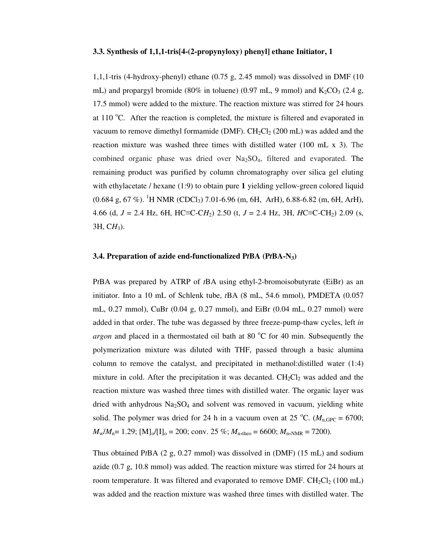#### **3.3. Synthesis of 1,1,1-tris[4-(2-propynyloxy) phenyl] ethane Initiator, 1**

1,1,1-tris (4-hydroxy-phenyl) ethane (0.75 g, 2.45 mmol) was dissolved in DMF (10 mL) and propargyl bromide (80% in toluene) (0.97 mL, 9 mmol) and  $K_2CO_3$  (2.4 g, 17.5 mmol) were added to the mixture. The reaction mixture was stirred for 24 hours at 110  $\degree$ C. After the reaction is completed, the mixture is filtered and evaporated in vacuum to remove dimethyl formamide (DMF).  $CH_2Cl_2$  (200 mL) was added and the reaction mixture was washed three times with distilled water (100 mL x 3). The combined organic phase was dried over  $Na<sub>2</sub>SO<sub>4</sub>$ , filtered and evaporated. The remaining product was purified by column chromatography over silica gel eluting with ethylacetate / hexane (1:9) to obtain pure **1** yielding yellow-green colored liquid  $(0.684 \text{ g}, 67 \text{ %})$ . <sup>1</sup>H NMR (CDCl<sub>3</sub>) 7.01-6.96 (m, 6H, ArH), 6.88-6.82 (m, 6H, ArH), 4.66 (d, *J* = 2.4 Hz, 6H, HC≡C-C*H*2) 2.50 (t, *J* = 2.4 Hz, 3H, *H*C≡C-CH2) 2.09 (s, 3H, C*H*3).

#### **3.4. Preparation of azide end-functionalized P***t***BA (P***t***BA-N3)**

P*t*BA was prepared by ATRP of *t*BA using ethyl-2-bromoisobutyrate (EiBr) as an initiator. Into a 10 mL of Schlenk tube, *t*BA (8 mL, 54.6 mmol), PMDETA (0.057 mL, 0.27 mmol), CuBr (0.04 g, 0.27 mmol), and EiBr (0.04 mL, 0.27 mmol) were added in that order. The tube was degassed by three freeze-pump-thaw cycles, left *in argon* and placed in a thermostated oil bath at 80  $^{\circ}$ C for 40 min. Subsequently the polymerization mixture was diluted with THF, passed through a basic alumina column to remove the catalyst, and precipitated in methanol:distilled water (1:4) mixture in cold. After the precipitation it was decanted.  $CH_2Cl_2$  was added and the reaction mixture was washed three times with distilled water. The organic layer was dried with anhydrous  $Na<sub>2</sub>SO<sub>4</sub>$  and solvent was removed in vacuum, yielding white solid. The polymer was dried for 24 h in a vacuum oven at 25 °C. ( $M_{n,\text{GPC}} = 6700$ ;  $M_{\text{w}}/M_{\text{n}} = 1.29$ ; [M]<sub>o</sub>/[I]<sub>o</sub> = 200; conv. 25 %;  $M_{\text{n-theo}} = 6600$ ;  $M_{\text{n,NMR}} = 7200$ ).

Thus obtained P*t*BA (2 g, 0.27 mmol) was dissolved in (DMF) (15 mL) and sodium azide (0.7 g, 10.8 mmol) was added. The reaction mixture was stirred for 24 hours at room temperature. It was filtered and evaporated to remove DMF.  $CH_2Cl_2$  (100 mL) was added and the reaction mixture was washed three times with distilled water. The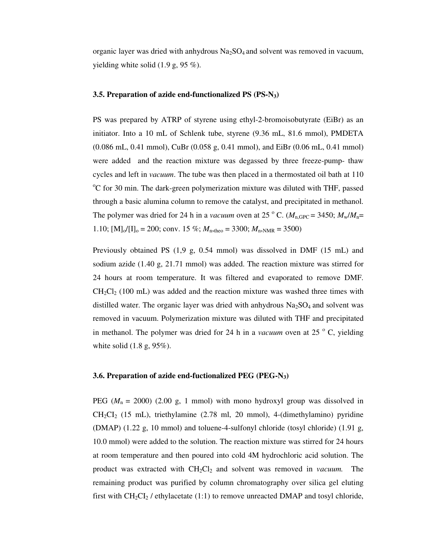organic layer was dried with anhydrous  $Na<sub>2</sub>SO<sub>4</sub>$  and solvent was removed in vacuum, yielding white solid (1.9 g, 95 %).

#### **3.5. Preparation of azide end-functionalized PS (PS-N3)**

PS was prepared by ATRP of styrene using ethyl-2-bromoisobutyrate (EiBr) as an initiator. Into a 10 mL of Schlenk tube, styrene (9.36 mL, 81.6 mmol), PMDETA (0.086 mL, 0.41 mmol), CuBr (0.058 g, 0.41 mmol), and EiBr (0.06 mL, 0.41 mmol) were added and the reaction mixture was degassed by three freeze-pump- thaw cycles and left in *vacuum*. The tube was then placed in a thermostated oil bath at 110  $\rm{^oC}$  for 30 min. The dark-green polymerization mixture was diluted with THF, passed through a basic alumina column to remove the catalyst, and precipitated in methanol. The polymer was dried for 24 h in a *vacuum* oven at 25 °C. ( $M_{n,\text{GPC}} = 3450$ ;  $M_w/M_n =$ 1.10;  $[M]_0/[I]_0 = 200$ ; conv. 15 %;  $M_{\text{n,theo}} = 3300$ ;  $M_{\text{n,NNR}} = 3500$ )

Previously obtained PS (1,9 g, 0.54 mmol) was dissolved in DMF (15 mL) and sodium azide (1.40 g, 21.71 mmol) was added. The reaction mixture was stirred for 24 hours at room temperature. It was filtered and evaporated to remove DMF.  $CH_2Cl_2$  (100 mL) was added and the reaction mixture was washed three times with distilled water. The organic layer was dried with anhydrous  $Na<sub>2</sub>SO<sub>4</sub>$  and solvent was removed in vacuum. Polymerization mixture was diluted with THF and precipitated in methanol. The polymer was dried for 24 h in a *vacuum* oven at 25<sup>°</sup> C, yielding white solid (1.8 g, 95%).

#### **3.6. Preparation of azide end-fuctionalized PEG (PEG-N3)**

PEG ( $M_n$  = 2000) (2.00 g, 1 mmol) with mono hydroxyl group was dissolved in  $CH_2Cl_2$  (15 mL), triethylamine (2.78 ml, 20 mmol), 4-(dimethylamino) pyridine (DMAP) (1.22 g, 10 mmol) and toluene-4-sulfonyl chloride (tosyl chloride) (1.91 g, 10.0 mmol) were added to the solution. The reaction mixture was stirred for 24 hours at room temperature and then poured into cold 4M hydrochloric acid solution. The product was extracted with CH2Cl2 and solvent was removed in *vacuum.* The remaining product was purified by column chromatography over silica gel eluting first with  $CH_2Cl_2$  / ethylacetate (1:1) to remove unreacted DMAP and tosyl chloride,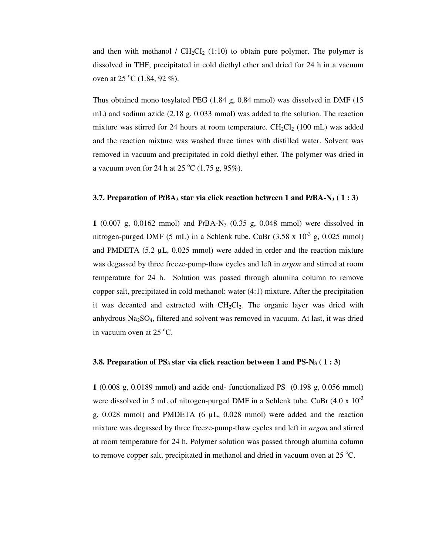and then with methanol /  $CH<sub>2</sub>Cl<sub>2</sub>$  (1:10) to obtain pure polymer. The polymer is dissolved in THF, precipitated in cold diethyl ether and dried for 24 h in a vacuum oven at 25  $^{\circ}$ C (1.84, 92 %).

Thus obtained mono tosylated PEG (1.84 g, 0.84 mmol) was dissolved in DMF (15 mL) and sodium azide (2.18 g, 0.033 mmol) was added to the solution. The reaction mixture was stirred for 24 hours at room temperature.  $CH_2Cl_2$  (100 mL) was added and the reaction mixture was washed three times with distilled water. Solvent was removed in vacuum and precipitated in cold diethyl ether. The polymer was dried in a vacuum oven for 24 h at  $25\degree C$  (1.75 g, 95%).

#### **3.7. Preparation of P***t***BA3 star via click reaction between 1 and P***t***BA-N3 ( 1 : 3)**

**1** (0.007 g, 0.0162 mmol) and P*t*BA-N3 (0.35 g, 0.048 mmol) were dissolved in nitrogen-purged DMF (5 mL) in a Schlenk tube. CuBr  $(3.58 \times 10^{-3} \text{ g}, 0.025 \text{ mmol})$ and PMDETA  $(5.2 \mu L, 0.025 \text{ mmol})$  were added in order and the reaction mixture was degassed by three freeze-pump-thaw cycles and left in *argon* and stirred at room temperature for 24 h. Solution was passed through alumina column to remove copper salt, precipitated in cold methanol: water (4:1) mixture. After the precipitation it was decanted and extracted with  $CH_2Cl_2$ . The organic layer was dried with anhydrous  $Na<sub>2</sub>SO<sub>4</sub>$ , filtered and solvent was removed in vacuum. At last, it was dried in vacuum oven at  $25^{\circ}$ C.

## **3.8. Preparation of PS<sub>3</sub> star via click reaction between 1 and PS-N<sub>3</sub> (1 : 3)**

**1** (0.008 g, 0.0189 mmol) and azide end- functionalized PS (0.198 g, 0.056 mmol) were dissolved in 5 mL of nitrogen-purged DMF in a Schlenk tube. CuBr  $(4.0 \times 10^{-3}$ g,  $0.028$  mmol) and PMDETA (6  $\mu$ L, 0.028 mmol) were added and the reaction mixture was degassed by three freeze-pump-thaw cycles and left in *argon* and stirred at room temperature for 24 h. Polymer solution was passed through alumina column to remove copper salt, precipitated in methanol and dried in vacuum oven at  $25^{\circ}$ C.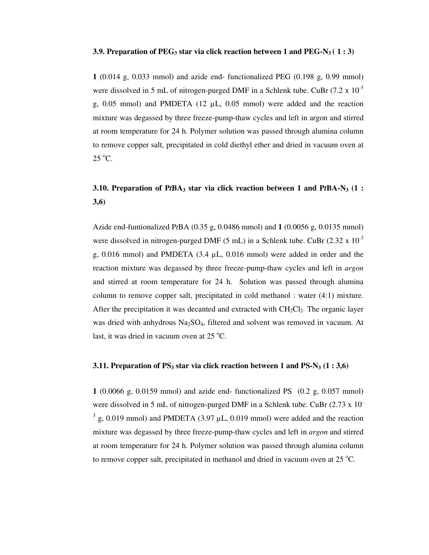#### **3.9. Preparation of PEG3 star via click reaction between 1 and PEG-N3 ( 1 : 3)**

**1** (0.014 g, 0.033 mmol) and azide end- functionalized PEG (0.198 g, 0.99 mmol) were dissolved in 5 mL of nitrogen-purged DMF in a Schlenk tube. CuBr  $(7.2 \times 10^{-3}$ g, 0.05 mmol) and PMDETA (12 µL, 0.05 mmol) were added and the reaction mixture was degassed by three freeze-pump-thaw cycles and left in argon and stirred at room temperature for 24 h. Polymer solution was passed through alumina column to remove copper salt, precipitated in cold diethyl ether and dried in vacuum oven at  $25^{\circ}$ C.

# **3.10. Preparation of P***t***BA3 star via click reaction between 1 and P***t***BA-N3 (1 : 3,6)**

Azide end-funtionalized P*t*BA (0.35 g, 0.0486 mmol) and **1** (0.0056 g, 0.0135 mmol) were dissolved in nitrogen-purged DMF (5 mL) in a Schlenk tube. CuBr (2.32 x  $10^{-3}$ g,  $0.016$  mmol) and PMDETA  $(3.4 \mu L, 0.016 \text{ mmol})$  were added in order and the reaction mixture was degassed by three freeze-pump-thaw cycles and left in *argon* and stirred at room temperature for 24 h. Solution was passed through alumina column to remove copper salt, precipitated in cold methanol : water (4:1) mixture. After the precipitation it was decanted and extracted with  $CH_2Cl_2$ . The organic layer was dried with anhydrous  $Na<sub>2</sub>SO<sub>4</sub>$ , filtered and solvent was removed in vacuum. At last, it was dried in vacuum oven at  $25^{\circ}$ C.

## **3.11. Preparation of PS3 star via click reaction between 1 and PS-N3 (1 : 3,6)**

**1** (0.0066 g, 0.0159 mmol) and azide end- functionalized PS (0.2 g, 0.057 mmol) were dissolved in 5 mL of nitrogen-purged DMF in a Schlenk tube. CuBr (2.73 x 10)  $3 \text{ g}$ , 0.019 mmol) and PMDETA (3.97 µL, 0.019 mmol) were added and the reaction mixture was degassed by three freeze-pump-thaw cycles and left in *argon* and stirred at room temperature for 24 h. Polymer solution was passed through alumina column to remove copper salt, precipitated in methanol and dried in vacuum oven at  $25^{\circ}$ C.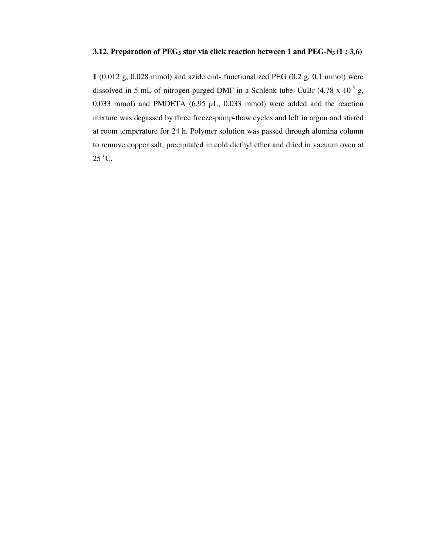## **3.12. Preparation of PEG<sub>3</sub> star via click reaction between 1 and PEG-N<sub>3</sub>**  $(1:3,6)$

**1** (0.012 g, 0.028 mmol) and azide end- functionalized PEG (0.2 g, 0.1 mmol) were dissolved in 5 mL of nitrogen-purged DMF in a Schlenk tube. CuBr  $(4.78 \times 10^{-3} \text{ g},$ 0.033 mmol) and PMDETA  $(6.95 \mu L, 0.033 \text{ mmol})$  were added and the reaction mixture was degassed by three freeze-pump-thaw cycles and left in argon and stirred at room temperature for 24 h. Polymer solution was passed through alumina column to remove copper salt, precipitated in cold diethyl ether and dried in vacuum oven at 25 °C.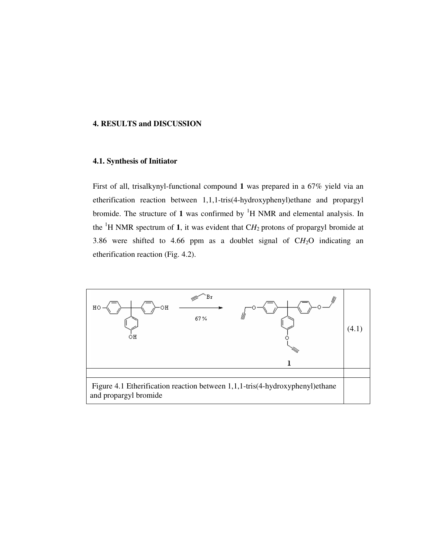## **4. RESULTS and DISCUSSION**

#### **4.1. Synthesis of Initiator**

First of all, trisalkynyl-functional compound **1** was prepared in a 67% yield via an etherification reaction between 1,1,1-tris(4-hydroxyphenyl)ethane and propargyl bromide. The structure of 1 was confirmed by  ${}^{1}H$  NMR and elemental analysis. In the  ${}^{1}$ H NMR spectrum of **1**, it was evident that CH<sub>2</sub> protons of propargyl bromide at 3.86 were shifted to 4.66 ppm as a doublet signal of  $CH<sub>2</sub>O$  indicating an etherification reaction (Fig. 4.2).

![](_page_47_Figure_3.jpeg)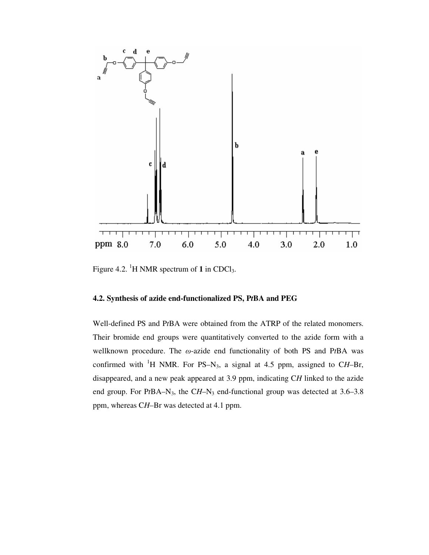![](_page_48_Figure_0.jpeg)

Figure 4.2. <sup>1</sup>H NMR spectrum of **1** in CDCl<sub>3</sub>.

## **4.2. Synthesis of azide end-functionalized PS, P***t***BA and PEG**

Well-defined PS and P*t*BA were obtained from the ATRP of the related monomers. Their bromide end groups were quantitatively converted to the azide form with a wellknown procedure. The ω-azide end functionality of both PS and P*t*BA was confirmed with <sup>1</sup>H NMR. For PS–N<sub>3</sub>, a signal at 4.5 ppm, assigned to CH–Br, disappeared, and a new peak appeared at 3.9 ppm, indicating C*H* linked to the azide end group. For PtBA–N<sub>3</sub>, the CH–N<sub>3</sub> end-functional group was detected at 3.6–3.8 ppm, whereas C*H*–Br was detected at 4.1 ppm.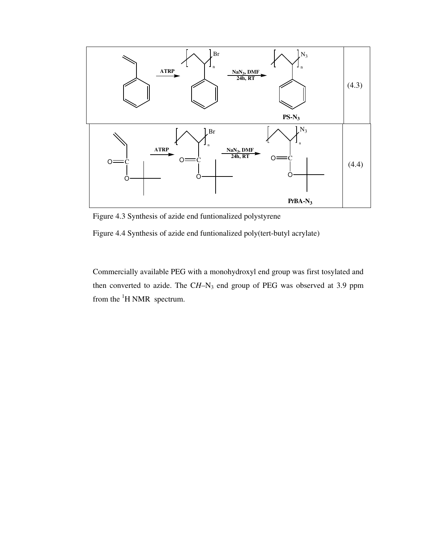![](_page_49_Figure_0.jpeg)

Figure 4.3 Synthesis of azide end funtionalized polystyrene

Figure 4.4 Synthesis of azide end funtionalized poly(tert-butyl acrylate)

Commercially available PEG with a monohydroxyl end group was first tosylated and then converted to azide. The CH-N<sub>3</sub> end group of PEG was observed at 3.9 ppm from the  ${}^{1}$ H NMR spectrum.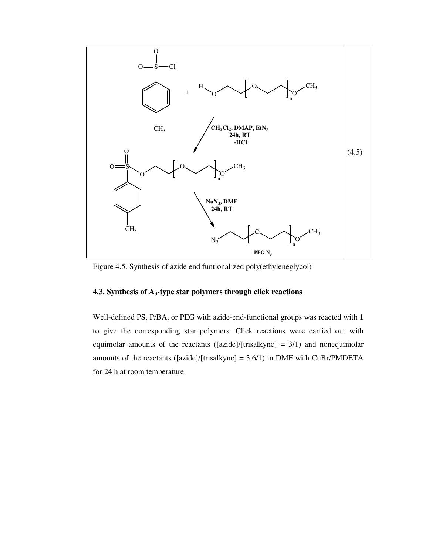![](_page_50_Figure_0.jpeg)

Figure 4.5. Synthesis of azide end funtionalized poly(ethyleneglycol)

## **4.3. Synthesis of A3-type star polymers through click reactions**

Well-defined PS, P*t*BA, or PEG with azide-end-functional groups was reacted with **1** to give the corresponding star polymers. Click reactions were carried out with equimolar amounts of the reactants ([azide]/[trisalkyne] =  $3/1$ ) and nonequimolar amounts of the reactants ([azide]/[trisalkyne] =  $3,6/1$ ) in DMF with CuBr/PMDETA for 24 h at room temperature.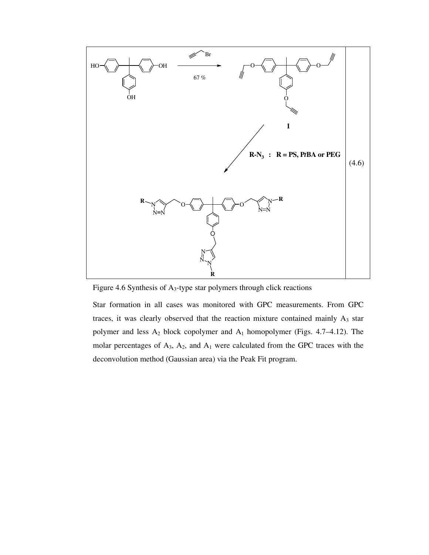![](_page_51_Figure_0.jpeg)

Figure 4.6 Synthesis of A3-type star polymers through click reactions

Star formation in all cases was monitored with GPC measurements. From GPC traces, it was clearly observed that the reaction mixture contained mainly  $A_3$  star polymer and less A2 block copolymer and A1 homopolymer (Figs. 4.7–4.12). The molar percentages of  $A_3$ ,  $A_2$ , and  $A_1$  were calculated from the GPC traces with the deconvolution method (Gaussian area) via the Peak Fit program.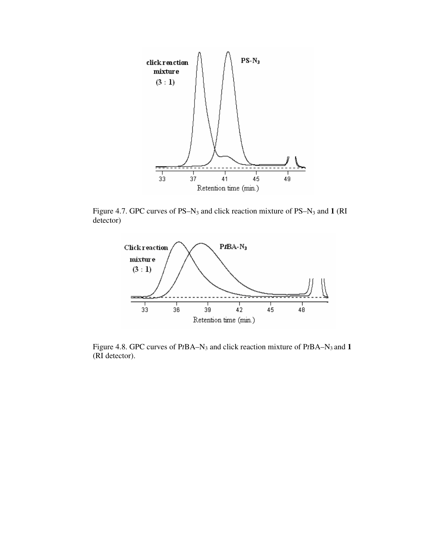![](_page_52_Figure_0.jpeg)

Figure 4.7. GPC curves of PS–N3 and click reaction mixture of PS–N3 and **1** (RI detector)

![](_page_52_Figure_2.jpeg)

Figure 4.8. GPC curves of P*t*BA–N3 and click reaction mixture of P*t*BA–N3 and **1** (RI detector).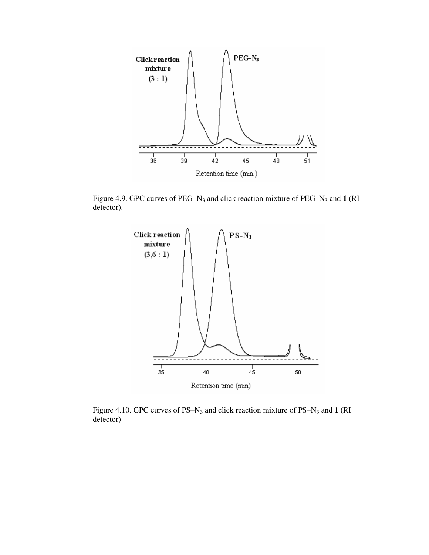![](_page_53_Figure_0.jpeg)

Figure 4.9. GPC curves of PEG–N3 and click reaction mixture of PEG–N3 and **1** (RI detector).

![](_page_53_Figure_2.jpeg)

Figure 4.10. GPC curves of PS–N3 and click reaction mixture of PS–N3 and **1** (RI detector)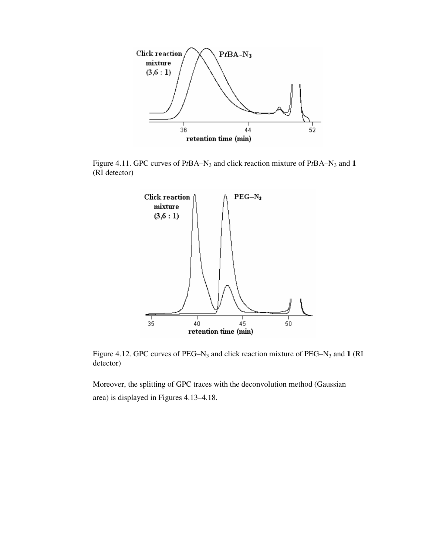![](_page_54_Figure_0.jpeg)

Figure 4.11. GPC curves of P*t*BA–N3 and click reaction mixture of P*t*BA–N3 and **1** (RI detector)

![](_page_54_Figure_2.jpeg)

Figure 4.12. GPC curves of PEG–N3 and click reaction mixture of PEG–N3 and **1** (RI detector)

Moreover, the splitting of GPC traces with the deconvolution method (Gaussian area) is displayed in Figures 4.13–4.18.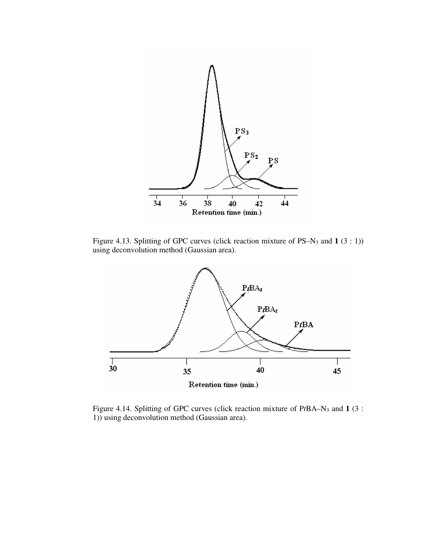![](_page_55_Figure_0.jpeg)

Figure 4.13. Splitting of GPC curves (click reaction mixture of PS–N3 and **1** (3 : 1)) using deconvolution method (Gaussian area).

![](_page_55_Figure_2.jpeg)

Figure 4.14. Splitting of GPC curves (click reaction mixture of P*t*BA–N3 and **1** (3 : 1)) using deconvolution method (Gaussian area).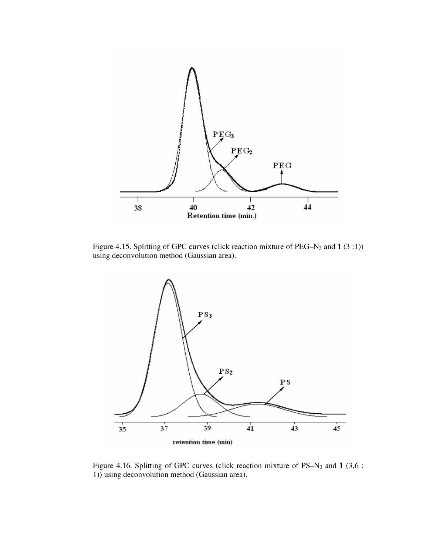![](_page_56_Figure_0.jpeg)

Figure 4.15. Splitting of GPC curves (click reaction mixture of PEG–N3 and **1** (3 :1)) using deconvolution method (Gaussian area).

![](_page_56_Figure_2.jpeg)

Figure 4.16. Splitting of GPC curves (click reaction mixture of PS–N3 and **1** (3,6 : 1)) using deconvolution method (Gaussian area).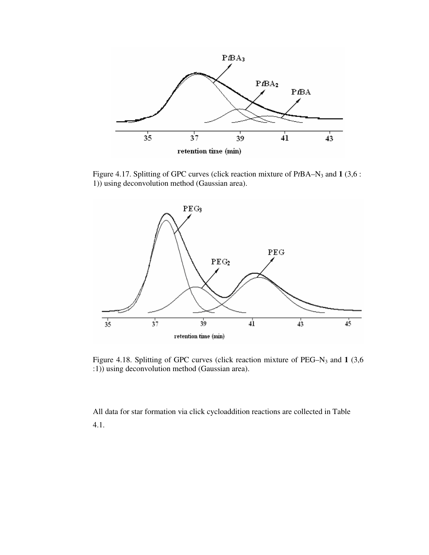![](_page_57_Figure_0.jpeg)

Figure 4.17. Splitting of GPC curves (click reaction mixture of P*t*BA–N3 and **1** (3,6 : 1)) using deconvolution method (Gaussian area).

![](_page_57_Figure_2.jpeg)

Figure 4.18. Splitting of GPC curves (click reaction mixture of PEG–N3 and **1** (3,6 :1)) using deconvolution method (Gaussian area).

All data for star formation via click cycloaddition reactions are collected in Table 4.1.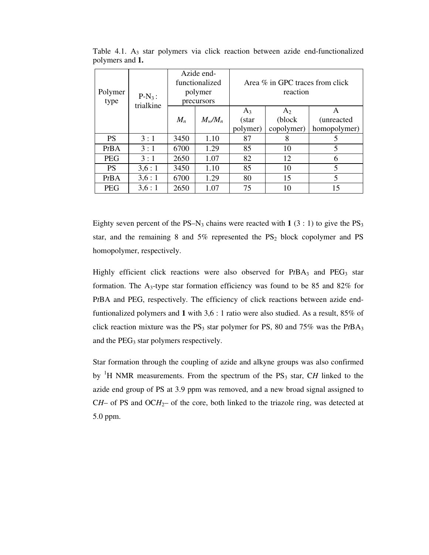| Polymer<br>type | $P-N_3$ :<br>trialkine | Azide end-<br>functionalized<br>polymer<br>precursors |           | Area $\%$ in GPC traces from click<br>reaction |                |                    |
|-----------------|------------------------|-------------------------------------------------------|-----------|------------------------------------------------|----------------|--------------------|
|                 |                        |                                                       |           | $A_3$                                          | A <sub>2</sub> | A                  |
|                 |                        | $M_n$                                                 | $M_w/M_n$ | (star                                          | (block)        | <i>(unreacted)</i> |
|                 |                        |                                                       |           | polymer)                                       | copolymer)     | homopolymer)       |
| <b>PS</b>       | 3:1                    | 3450                                                  | 1.10      | 87                                             | 8              | 5                  |
| PtBA            | 3:1                    | 6700                                                  | 1.29      | 85                                             | 10             | 5                  |
| <b>PEG</b>      | 3:1                    | 2650                                                  | 1.07      | 82                                             | 12             | 6                  |
| <b>PS</b>       | 3,6:1                  | 3450                                                  | 1.10      | 85                                             | 10             | 5                  |
| PtBA            | 3,6:1                  | 6700                                                  | 1.29      | 80                                             | 15             | 5                  |
| <b>PEG</b>      | 3,6:1                  | 2650                                                  | 1.07      | 75                                             | 10             | 15                 |

Table 4.1.  $A_3$  star polymers via click reaction between azide end-functionalized polymers and **1.** 

Eighty seven percent of the PS–N<sub>3</sub> chains were reacted with  $1$  (3 : 1) to give the PS<sub>3</sub> star, and the remaining 8 and  $5\%$  represented the  $PS_2$  block copolymer and PS homopolymer, respectively.

Highly efficient click reactions were also observed for  $PtBA<sub>3</sub>$  and  $PEG<sub>3</sub>$  star formation. The  $A_3$ -type star formation efficiency was found to be 85 and 82% for P*t*BA and PEG, respectively. The efficiency of click reactions between azide endfuntionalized polymers and **1** with 3,6 : 1 ratio were also studied. As a result, 85% of click reaction mixture was the  $PS_3$  star polymer for PS, 80 and 75% was the PtBA<sub>3</sub> and the PEG<sub>3</sub> star polymers respectively.

Star formation through the coupling of azide and alkyne groups was also confirmed by <sup>1</sup>H NMR measurements. From the spectrum of the PS<sub>3</sub> star, CH linked to the azide end group of PS at 3.9 ppm was removed, and a new broad signal assigned to  $CH-$  of PS and  $OCH<sub>2</sub>$ – of the core, both linked to the triazole ring, was detected at 5.0 ppm.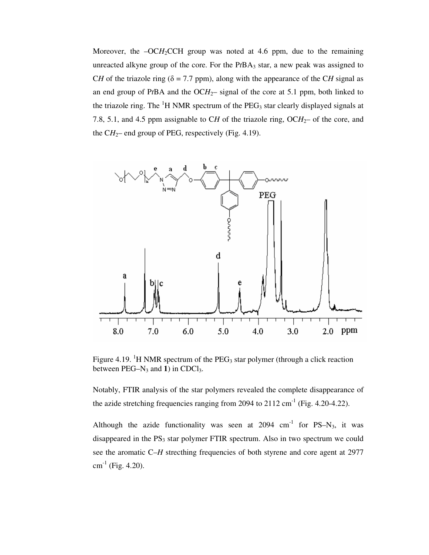Moreover, the  $-OCH<sub>2</sub>CCH$  group was noted at 4.6 ppm, due to the remaining unreacted alkyne group of the core. For the  $PtBA<sub>3</sub>$  star, a new peak was assigned to C*H* of the triazole ring ( $\delta$  = 7.7 ppm), along with the appearance of the C*H* signal as an end group of PtBA and the  $OCH<sub>2</sub>$ - signal of the core at 5.1 ppm, both linked to the triazole ring. The  ${}^{1}H$  NMR spectrum of the PEG<sub>3</sub> star clearly displayed signals at 7.8, 5.1, and 4.5 ppm assignable to CH of the triazole ring,  $OCH<sub>2</sub>$  of the core, and the  $CH_2$ – end group of PEG, respectively (Fig. 4.19).

![](_page_59_Figure_1.jpeg)

Figure 4.19. <sup>1</sup>H NMR spectrum of the  $PEG_3$  star polymer (through a click reaction between  $PEG-N_3$  and **1**) in  $CDCl_3$ .

Notably, FTIR analysis of the star polymers revealed the complete disappearance of the azide stretching frequencies ranging from 2094 to  $2112 \text{ cm}^{-1}$  (Fig. 4.20-4.22).

Although the azide functionality was seen at  $2094 \text{ cm}^{-1}$  for PS–N<sub>3</sub>, it was disappeared in the  $PS<sub>3</sub>$  star polymer FTIR spectrum. Also in two spectrum we could see the aromatic C–*H* strecthing frequencies of both styrene and core agent at 2977  $cm^{-1}$  (Fig. 4.20).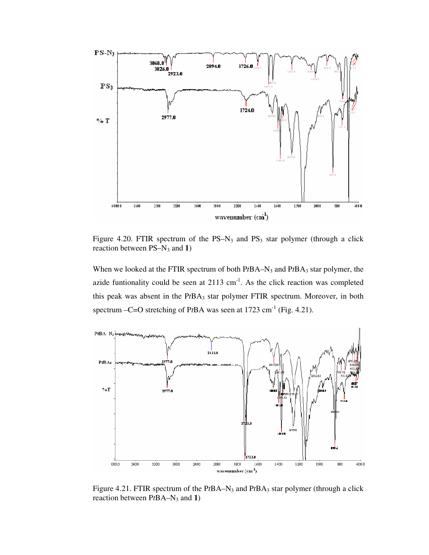![](_page_60_Figure_0.jpeg)

Figure 4.20. FTIR spectrum of the  $PS-N_3$  and  $PS_3$  star polymer (through a click reaction between PS–N3 and **1**)

When we looked at the FTIR spectrum of both PtBA–N<sub>3</sub> and PtBA<sub>3</sub> star polymer, the azide funtionality could be seen at  $2113 \text{ cm}^{-1}$ . As the click reaction was completed this peak was absent in the P*t*BA3 star polymer FTIR spectrum. Moreover, in both spectrum –C=O stretching of PtBA was seen at 1723 cm<sup>-1</sup> (Fig. 4.21).

![](_page_60_Figure_3.jpeg)

Figure 4.21. FTIR spectrum of the PtBA–N<sub>3</sub> and PtBA<sub>3</sub> star polymer (through a click reaction between PtBA–N<sub>3</sub> and **1**)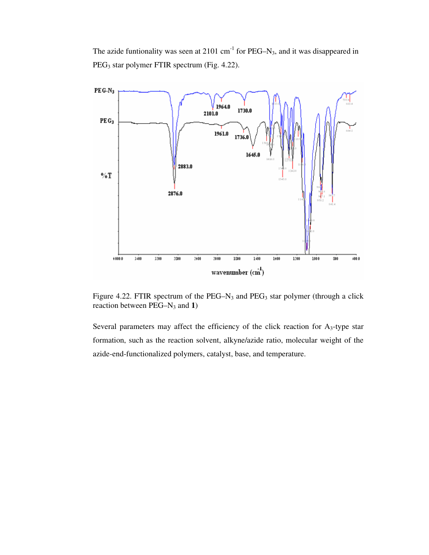The azide funtionality was seen at  $2101 \text{ cm}^{-1}$  for PEG–N<sub>3</sub>, and it was disappeared in PEG3 star polymer FTIR spectrum (Fig. 4.22).

![](_page_61_Figure_1.jpeg)

Figure 4.22. FTIR spectrum of the PEG–N<sub>3</sub> and PEG<sub>3</sub> star polymer (through a click reaction between PEG–N3 and **1**)

Several parameters may affect the efficiency of the click reaction for  $A<sub>3</sub>$ -type star formation, such as the reaction solvent, alkyne/azide ratio, molecular weight of the azide-end-functionalized polymers, catalyst, base, and temperature.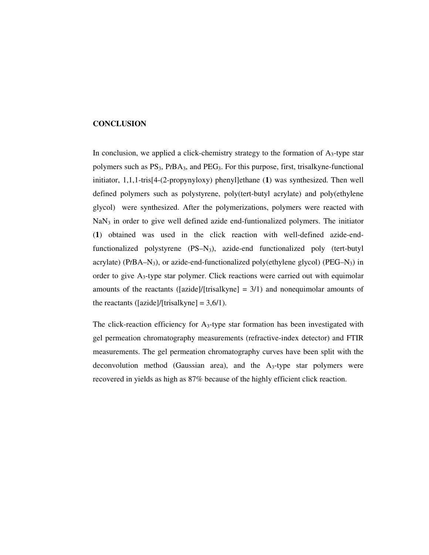## **CONCLUSION**

In conclusion, we applied a click-chemistry strategy to the formation of  $A<sub>3</sub>$ -type star polymers such as PS3, P*t*BA3, and PEG3. For this purpose, first, trisalkyne-functional initiator, 1,1,1-tris[4-(2-propynyloxy) phenyl]ethane (**1**) was synthesized. Then well defined polymers such as polystyrene, poly(tert-butyl acrylate) and poly(ethylene glycol) were synthesized. After the polymerizations, polymers were reacted with  $NaN<sub>3</sub>$  in order to give well defined azide end-funtionalized polymers. The initiator (**1**) obtained was used in the click reaction with well-defined azide-endfunctionalized polystyrene (PS–N3), azide-end functionalized poly (tert-butyl acrylate) ( $PtBA-N_3$ ), or azide-end-functionalized poly(ethylene glycol) ( $PEG-N_3$ ) in order to give A3-type star polymer. Click reactions were carried out with equimolar amounts of the reactants ([azide]/[trisalkyne]  $= 3/1$ ) and nonequimolar amounts of the reactants ([azide]/[trisalkyne] =  $3,6/1$ ).

The click-reaction efficiency for  $A_3$ -type star formation has been investigated with gel permeation chromatography measurements (refractive-index detector) and FTIR measurements. The gel permeation chromatography curves have been split with the deconvolution method (Gaussian area), and the  $A_3$ -type star polymers were recovered in yields as high as 87% because of the highly efficient click reaction.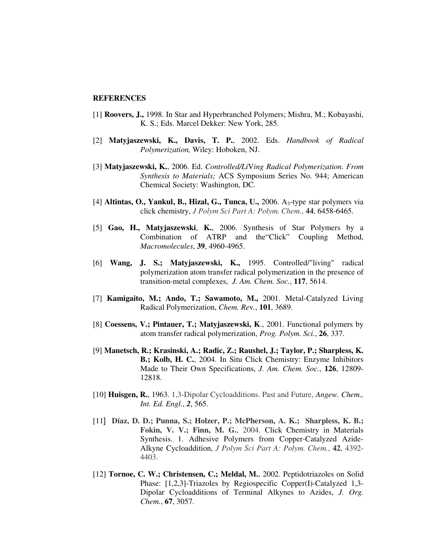#### **REFERENCES**

- [1] **Roovers, J.,** 1998. In Star and Hyperbranched Polymers; Mishra, M.; Kobayashi, K. S.; Eds. Marcel Dekker: New York, 285.
- [2] **Matyjaszewski, K., Davis, T. P.**, 2002. Eds. *Handbook of Radical Polymerization,* Wiley: Hoboken, NJ.
- [3] **Matyjaszewski, K.**, 2006. Ed. *Controlled/Li*V*ing Radical Polymerization. From Synthesis to Materials;* ACS Symposium Series No. 944; American Chemical Society: Washington, DC.
- [4] **Altintas, O., Yankul, B., Hizal, G., Tunca, U.,** 2006. A3-type star polymers via click chemistry, *J Polym Sci Part A: Polym. Chem.*, **44**, 6458-6465.
- [5] **Gao, H., Matyjaszewski**, **K.**, 2006. Synthesis of Star Polymers by a Combination of ATRP and the"Click" Coupling Method, *Macromolecules*, **39**, 4960-4965.
- [6] **Wang, J. S.; Matyjaszewski, K.,** 1995. Controlled/"living" radical polymerization atom transfer radical polymerization in the presence of transition-metal complexes, *J. Am. Chem. Soc.*, **117**, 5614.
- [7] **Kamigaito, M.; Ando, T.; Sawamoto, M.,** 2001. Metal-Catalyzed Living Radical Polymerization, *Chem. Re*v*.*, **101**, 3689.
- [8] **Coessens, V.; Pintauer, T.; Matyjaszewski, K**., 2001. Functional polymers by atom transfer radical polymerization, *Prog. Polym. Sci.*, **26**, 337.
- [9] **Manetsch, R.; Krasinski, A.; Radic, Z.; Raushel, J.; Taylor, P.; Sharpless, K. B.; Kolb, H. C.**, 2004. In Situ Click Chemistry: Enzyme Inhibitors Made to Their Own Specifications, *J. Am. Chem. Soc.*, **126**, 12809- 12818.
- [10] **Huisgen, R.**, 1963. 1,3-Dipolar Cycloadditions. Past and Future, *Angew. Chem., Int. Ed. Engl.*, *2*, 565.
- [11] **Díaz, D. D.; Punna, S.; Holzer, P.; McPherson, A. K.; Sharpless, K. B.; Fokin, V. V.; Finn, M. G.**, 2004. Click Chemistry in Materials Synthesis. 1. Adhesive Polymers from Copper-Catalyzed Azide-Alkyne Cycloaddition, *J Polym Sci Part A: Polym. Chem.*, **42**, 4392- 4403.
- [12] **Tornoe, C. W.; Christensen, C.; Meldal, M.**, 2002. Peptidotriazoles on Solid Phase: [1,2,3]-Triazoles by Regiospecific Copper(I)-Catalyzed 1,3- Dipolar Cycloadditions of Terminal Alkynes to Azides, *J. Org. Chem.*, **67**, 3057.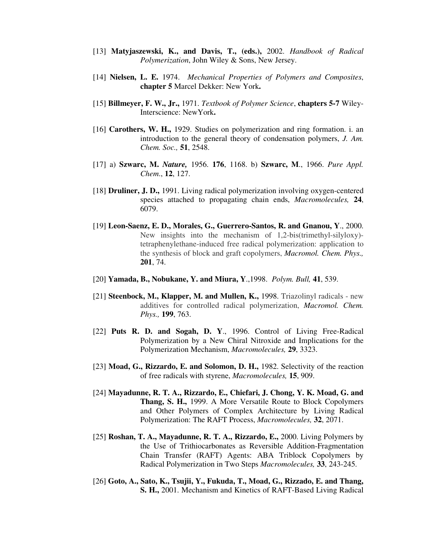- [13] **Matyjaszewski, K., and Davis, T., (eds.),** 2002. *Handbook of Radical Polymerization*, John Wiley & Sons, New Jersey.
- [14] **Nielsen, L. E.** 1974. *Mechanical Properties of Polymers and Composites*, **chapter 5** Marcel Dekker: New York**.**
- [15] **Billmeyer, F. W., Jr.,** 1971. *Textbook of Polymer Science*, **chapters 5-7** Wiley-Interscience: NewYork**.**
- [16] **Carothers, W. H.,** 1929. Studies on polymerization and ring formation. i. an introduction to the general theory of condensation polymers, *J. Am. Chem. Soc.,* **51**, 2548.
- [17] a) **Szwarc, M.** *Nature,* 1956. **176**, 1168. b) **Szwarc, M**., 1966. *Pure Appl. Chem*., **12**, 127.
- [18] **Druliner, J. D.,** 1991. Living radical polymerization involving oxygen-centered species attached to propagating chain ends, *Macromolecules,* **24**, 6079.
- [19] **Leon-Saenz, E. D., Morales, G., Guerrero-Santos, R. and Gnanou, Y**., 2000. New insights into the mechanism of 1,2-bis(trimethyl-silyloxy) tetraphenylethane-induced free radical polymerization: application to the synthesis of block and graft copolymers, *Macromol. Chem. Phys.,* **201**, 74.
- [20] **Yamada, B., Nobukane, Y. and Miura, Y**.,1998. *Polym. Bull,* **41**, 539.
- [21] **Steenbock, M., Klapper, M. and Mullen, K.,** 1998. Triazolinyl radicals new additives for controlled radical polymerization, *Macromol. Chem. Phys.,* **199**, 763.
- [22] **Puts R. D. and Sogah, D. Y**., 1996. Control of Living Free-Radical Polymerization by a New Chiral Nitroxide and Implications for the Polymerization Mechanism, *Macromolecules,* **29**, 3323.
- [23] **Moad, G., Rizzardo, E. and Solomon, D. H.,** 1982. Selectivity of the reaction of free radicals with styrene, *Macromolecules,* **15**, 909.
- [24] **Mayadunne, R. T. A., Rizzardo, E., Chiefari, J. Chong, Y. K. Moad, G. and Thang, S. H.,** 1999. A More Versatile Route to Block Copolymers and Other Polymers of Complex Architecture by Living Radical Polymerization: The RAFT Process, *Macromolecules,* **32**, 2071.
- [25] **Roshan, T. A., Mayadunne, R. T. A., Rizzardo, E.,** 2000. Living Polymers by the Use of Trithiocarbonates as Reversible Addition-Fragmentation Chain Transfer (RAFT) Agents: ABA Triblock Copolymers by Radical Polymerization in Two Steps *Macromolecules,* **33**, 243-245.
- [26] **Goto, A., Sato, K., Tsujii, Y., Fukuda, T., Moad, G., Rizzado, E. and Thang, S. H.,** 2001. Mechanism and Kinetics of RAFT-Based Living Radical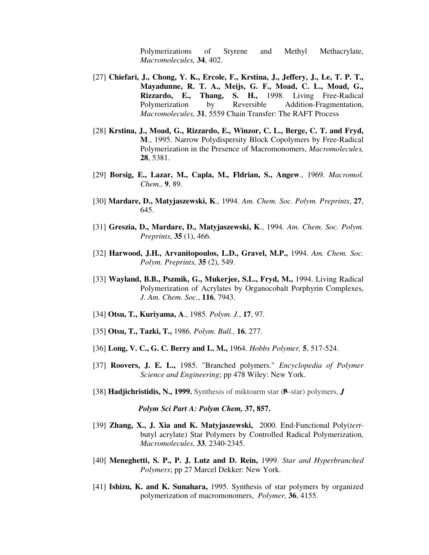Polymerizations of Styrene and Methyl Methacrylate, *Macromolecules,* **34**, 402.

- [27] **Chiefari, J., Chong, Y. K., Ercole, F., Krstina, J., Jeffery, J., Le, T. P. T., Mayadunne, R. T. A., Meijs, G. F., Moad, C. L., Moad, G., Rizzardo, E., Thang, S. H.,** 1998. Living Free-Radical Polymerization by Reversible Addition-Fragmentation, *Macromolecules,* **31**, 5559 Chain Transfer: The RAFT Process
- [28] **Krstina, J., Moad, G., Rizzardo, E., Winzor, C. L., Berge, C. T. and Fryd, M**., 1995. Narrow Polydispersity Block Copolymers by Free-Radical Polymerization in the Presence of Macromonomers, *Macromolecules,* **28**, 5381.
- [29] **Borsig, E., Lazar, M., Capla, M., Fldrian, S., Angew**., 1969. *Macromol. Chem.,* **9**, 89.
- [30] **Mardare, D., Matyjaszewski, K**., 1994. *Am. Chem. Soc. Polym. Preprints*, **27**, 645.
- [31] **Greszia, D., Mardare, D., Matyjaszewski, K**., 1994. *Am. Chem. Soc. Polym. Preprints*, **35** (1), 466.
- [32] **Harwood, J.H., Arvanitopoulos, L.D., Gravel, M.P.,** 1994. *Am. Chem. Soc. Polym. Preprints*, **35** (2), 549.
- [33] **Wayland, B.B., Pszmik, G., Mukerjee, S.L., Fryd, M.,** 1994. Living Radical Polymerization of Acrylates by Organocobalt Porphyrin Complexes, *J. Am. Chem. Soc.*, **116**, 7943.
- [34] **Otsu, T., Kuriyama, A**., 1985. *Polym. J.*, **17**, 97.
- [35] **Otsu, T., Tazki, T.,** 1986. *Polym. Bull.,* **16**, 277.
- [36] **Long, V. C., G. C. Berry and L. M.,** 1964*. Hobbs Polymer,* **5**, 517-524.
- [37] **Roovers, J. E. L.,** 1985. "Branched polymers." *Encyclopedia of Polymer Science and Engineering*; pp 478 Wiley: New York.
- $[38]$  **Hadjichristidis, N., 1999.** Synthesis of miktoarm star ( $\mu$ -star) polymers, *J*

 *Polym Sci Part A: Polym Chem,* **37, 857.**

- [39] **Zhang, X., J. Xia and K. Matyjaszewski,** 2000. End-Functional Poly(*tert*butyl acrylate) Star Polymers by Controlled Radical Polymerization, *Macromolecules,* **33**, 2340-2345.
- [40] **Meneghetti, S. P., P. J. Lutz and D. Rein,** 1999. *Star and Hyperbranched Polymers*; pp 27 Marcel Dekker: New York.
- [41] **Ishizu, K. and K. Sunahara,** 1995. Synthesis of star polymers by organized polymerization of macromonomers, *Polymer,* **36**, 4155.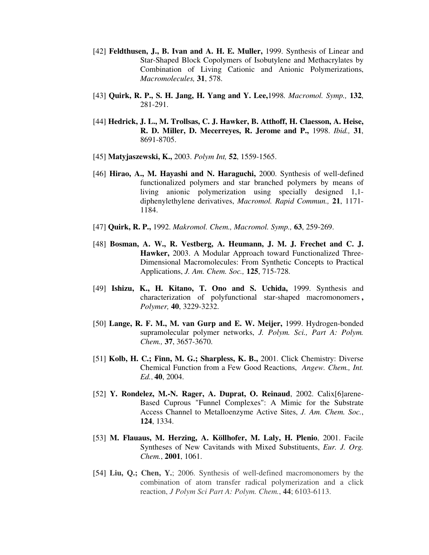- [42] **Feldthusen, J., B. Ivan and A. H. E. Muller,** 1999. Synthesis of Linear and Star-Shaped Block Copolymers of Isobutylene and Methacrylates by Combination of Living Cationic and Anionic Polymerizations, *Macromolecules,* **31**, 578.
- [43] **Quirk, R. P., S. H. Jang, H. Yang and Y. Lee,**1998*. Macromol. Symp.,* **132**, 281-291.
- [44] **Hedrick, J. L., M. Trollsas, C. J. Hawker, B. Atthoff, H. Claesson, A. Heise, R. D. Miller, D. Mecerreyes, R. Jerome and P.,** 1998. *Ibid.,* **31**, 8691-8705.
- [45] **Matyjaszewski, K.,** 2003. *Polym Int,* **52**, 1559-1565.
- [46] **Hirao, A., M. Hayashi and N. Haraguchi,** 2000. Synthesis of well-defined functionalized polymers and star branched polymers by means of living anionic polymerization using specially designed 1,1 diphenylethylene derivatives, *Macromol. Rapid Commun.,* **21**, 1171- 1184.
- [47] **Quirk, R. P.,** 1992. *Makromol. Chem., Macromol. Symp.,* **63**, 259-269.
- [48] **Bosman, A. W., R. Vestberg, A. Heumann, J. M. J. Frechet and C. J. Hawker,** 2003. A Modular Approach toward Functionalized Three-Dimensional Macromolecules: From Synthetic Concepts to Practical Applications, *J. Am. Chem. Soc.,* **125**, 715-728.
- [49] **Ishizu, K., H. Kitano, T. Ono and S. Uchida,** 1999. Synthesis and characterization of polyfunctional star-shaped macromonomers **,** *Polymer,* **40**, 3229-3232.
- [50] **Lange, R. F. M., M. van Gurp and E. W. Meijer,** 1999. Hydrogen-bonded supramolecular polymer networks, *J. Polym. Sci., Part A: Polym. Chem.,* **37**, 3657-3670.
- [51] **Kolb, H. C.; Finn, M. G.; Sharpless, K. B.,** 2001. Click Chemistry: Diverse Chemical Function from a Few Good Reactions, *Angew. Chem., Int. Ed.*, **40**, 2004.
- [52] **Y. Rondelez, M.-N. Rager, A. Duprat, O. Reinaud**, 2002. Calix[6]arene-Based Cuprous "Funnel Complexes": A Mimic for the Substrate Access Channel to Metalloenzyme Active Sites, *J. Am. Chem. Soc.*, **124**, 1334.
- [53] **M. Flauaus, M. Herzing, A. Köllhofer, M. Laly, H. Plenio**, 2001. Facile Syntheses of New Cavitands with Mixed Substituents, *Eur. J. Org. Chem.*, **2001**, 1061.
- [54] **Liu, Q.; Chen, Y.**; 2006. Synthesis of well-defined macromonomers by the combination of atom transfer radical polymerization and a click reaction, *J Polym Sci Part A: Polym. Chem.*, **44**; 6103-6113.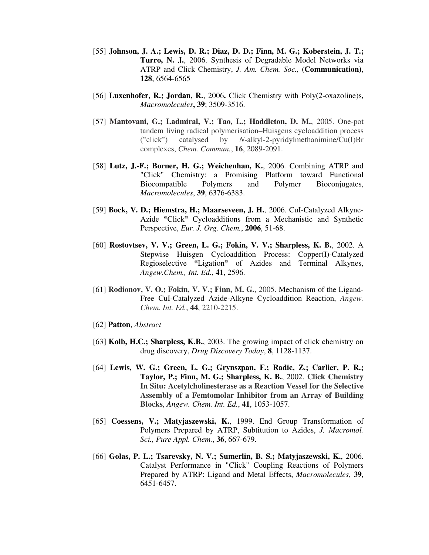- [55] **Johnson, J. A.; Lewis, D. R.; Diaz, D. D.; Finn, M. G.; Koberstein, J. T.; Turro, N. J.**, 2006. Synthesis of Degradable Model Networks via ATRP and Click Chemistry, *J. Am. Chem. Soc.,* **(Communication)**, **128**, 6564-6565
- [56] **Luxenhofer, R.; Jordan, R.**, 2006**.** Click Chemistry with Poly(2-oxazoline)s, *Macromolecules***, 39**; 3509-3516.
- [57] **Mantovani, G.; Ladmiral, V.; Tao, L.; Haddleton, D. M.**, 2005. One-pot tandem living radical polymerisation–Huisgens cycloaddition process ("click") catalysed by *N*-alkyl-2-pyridylmethanimine/Cu(I)Br complexes, *Chem. Commun.*, **16**, 2089-2091.
- [58] **Lutz, J.-F.; Borner, H. G.; Weichenhan, K.**, 2006. Combining ATRP and "Click" Chemistry: a Promising Platform toward Functional Biocompatible Polymers and Polymer Bioconjugates, *Macromolecules*, **39**, 6376-6383.
- [59] **Bock, V. D.; Hiemstra, H.; Maarseveen, J. H.**, 2006. CuI-Catalyzed Alkyne-Azide "Click" Cycloadditions from a Mechanistic and Synthetic Perspective, *Eur. J. Org. Chem.*, **2006**, 51-68.
- [60] **Rostovtsev, V. V.; Green, L. G.; Fokin, V. V.; Sharpless, K. B.**, 2002. A Stepwise Huisgen Cycloaddition Process: Copper(I)-Catalyzed Regioselective "Ligation" of Azides and Terminal Alkynes, *Angew.Chem., Int. Ed.*, **41**, 2596.
- [61] **Rodionov, V. O.; Fokin, V. V.; Finn, M. G.**, 2005. Mechanism of the Ligand-Free CuI-Catalyzed Azide-Alkyne Cycloaddition Reaction, *Angew. Chem. Int. Ed.*, **44**, 2210-2215.
- [62] **Patton**, *Abstract*
- [63**] Kolb, H.C.; Sharpless, K.B.**, 2003. The growing impact of click chemistry on drug discovery, *Drug Discovery Today*, **8**, 1128-1137.
- [64] **Lewis, W. G.; Green, L. G.; Grynszpan, F.; Radic, Z.; Carlier, P. R.; Taylor, P.; Finn, M. G.; Sharpless, K. B.**, 2002. **Click Chemistry In Situ: Acetylcholinesterase as a Reaction Vessel for the Selective Assembly of a Femtomolar Inhibitor from an Array of Building Blocks**, *Angew. Chem. Int. Ed.*, **41**, 1053-1057.
- [65] **Coessens, V.; Matyjaszewski, K.**, 1999. End Group Transformation of Polymers Prepared by ATRP, Subtitution to Azides, *J. Macromol. Sci., Pure Appl. Chem.*, **36**, 667-679.
- [66] **Golas, P. L.; Tsarevsky, N. V.; Sumerlin, B. S.; Matyjaszewski, K.**, 2006. Catalyst Performance in "Click" Coupling Reactions of Polymers Prepared by ATRP: Ligand and Metal Effects, *Macromolecules*, **39**, 6451-6457.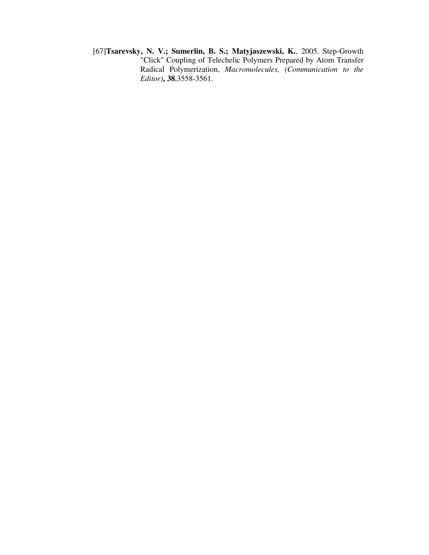[67]**Tsarevsky, N. V.; Sumerlin, B. S.; Matyjaszewski, K.**, 2005. Step-Growth "Click" Coupling of Telechelic Polymers Prepared by Atom Transfer Radical Polymerization, *Macromolecules, (Communication to the Editor)***, 38**,3558-3561.